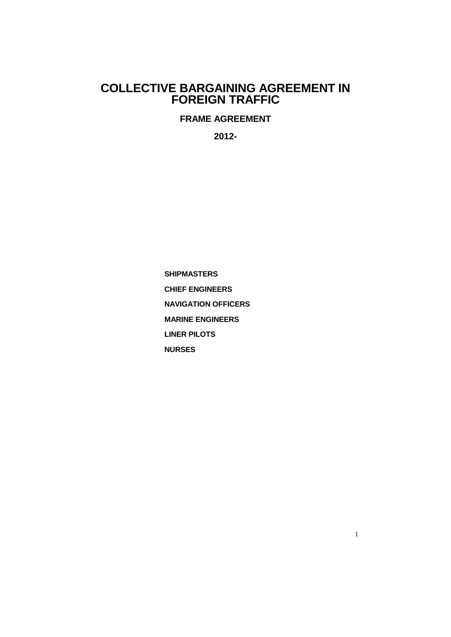# **COLLECTIVE BARGAINING AGREEMENT IN FOREIGN TRAFFIC**

**FRAME AGREEMENT**

**2012-**

**SHIPMASTERS CHIEF ENGINEERS NAVIGATION OFFICERS MARINE ENGINEERS LINER PILOTS NURSES**

1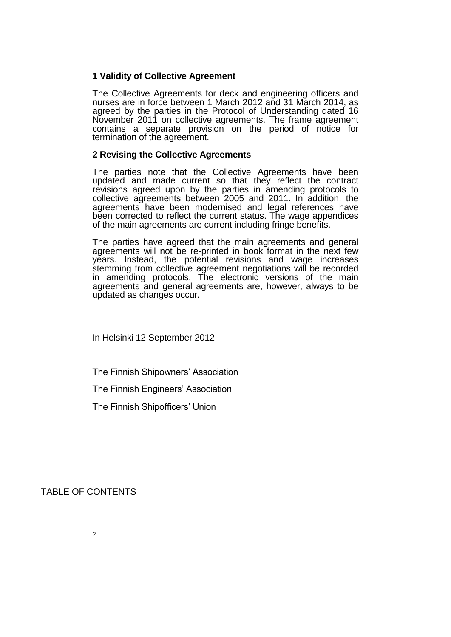## **1 Validity of Collective Agreement**

The Collective Agreements for deck and engineering officers and nurses are in force between 1 March 2012 and 31 March 2014, as agreed by the parties in the Protocol of Understanding dated 16 November 2011 on collective agreements. The frame agreement contains a separate provision on the period of notice for termination of the agreement.

### **2 Revising the Collective Agreements**

The parties note that the Collective Agreements have been updated and made current so that they reflect the contract revisions agreed upon by the parties in amending protocols to collective agreements between 2005 and 2011. In addition, the agreements have been modernised and legal references have been corrected to reflect the current status. The wage appendices of the main agreements are current including fringe benefits.

The parties have agreed that the main agreements and general agreements will not be re-printed in book format in the next few years. Instead, the potential revisions and wage increases stemming from collective agreement negotiations will be recorded in amending protocols. The electronic versions of the main agreements and general agreements are, however, always to be updated as changes occur.

In Helsinki 12 September 2012

The Finnish Shipowners' Association

The Finnish Engineers' Association

The Finnish Shipofficers' Union

TABLE OF CONTENTS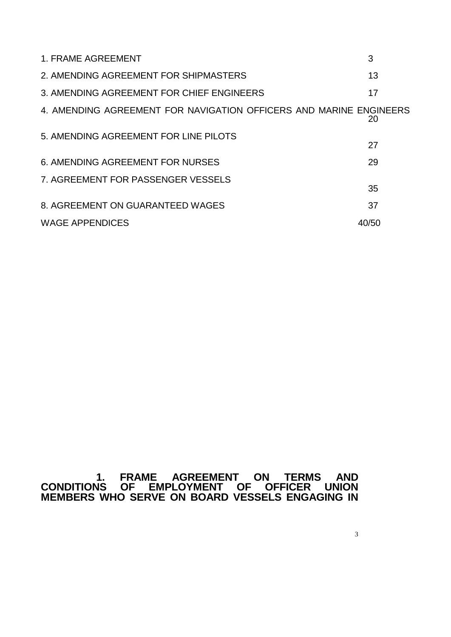| 1. FRAME AGREEMENT                                                 | 3     |
|--------------------------------------------------------------------|-------|
| 2. AMENDING AGREEMENT FOR SHIPMASTERS                              | 13    |
| 3. AMENDING AGREEMENT FOR CHIEF ENGINEERS                          | 17    |
| 4. AMENDING AGREEMENT FOR NAVIGATION OFFICERS AND MARINE ENGINEERS | 20    |
| 5. AMENDING AGREEMENT FOR LINE PILOTS                              | 27    |
| <b>6. AMENDING AGREEMENT FOR NURSES</b>                            | 29    |
| 7. AGREEMENT FOR PASSENGER VESSELS                                 | 35    |
| 8. AGREEMENT ON GUARANTEED WAGES                                   | 37    |
| <b>WAGE APPENDICES</b>                                             | 40/50 |

# **1. FRAME AGREEMENT ON TERMS AND CONDITIONS OF EMPLOYMENT OF OFFICER UNION MEMBERS WHO SERVE ON BOARD VESSELS ENGAGING IN**

3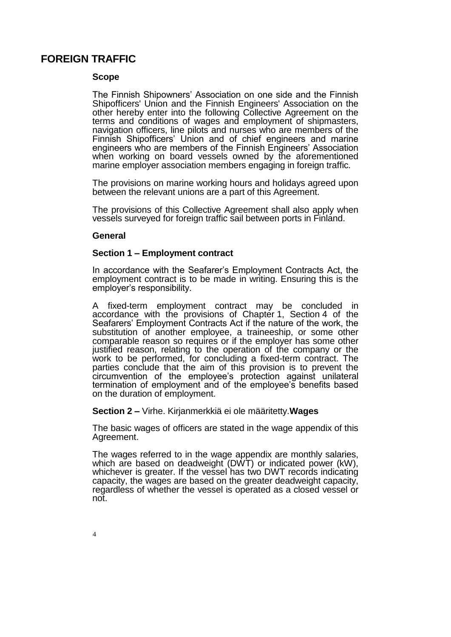# **FOREIGN TRAFFIC**

### **Scope**

The Finnish Shipowners' Association on one side and the Finnish Shipofficers' Union and the Finnish Engineers' Association on the other hereby enter into the following Collective Agreement on the terms and conditions of wages and employment of shipmasters, navigation officers, line pilots and nurses who are members of the Finnish Shipofficers' Union and of chief engineers and marine engineers who are members of the Finnish Engineers' Association when working on board vessels owned by the aforementioned marine employer association members engaging in foreign traffic.

The provisions on marine working hours and holidays agreed upon between the relevant unions are a part of this Agreement.

The provisions of this Collective Agreement shall also apply when vessels surveyed for foreign traffic sail between ports in Finland.

#### **General**

#### **Section 1 ‒ Employment contract**

In accordance with the Seafarer's Employment Contracts Act, the employment contract is to be made in writing. Ensuring this is the employer's responsibility.

A fixed-term employment contract may be concluded in accordance with the provisions of Chapter 1, Section 4 of the Seafarers' Employment Contracts Act if the nature of the work, the substitution of another employee, a traineeship, or some other comparable reason so requires or if the employer has some other justified reason, relating to the operation of the company or the work to be performed, for concluding a fixed-term contract. The parties conclude that the aim of this provision is to prevent the circumvention of the employee's protection against unilateral termination of employment and of the employee's benefits based on the duration of employment.

#### **Section 2 ‒** Virhe. Kirjanmerkkiä ei ole määritetty.**Wages**

The basic wages of officers are stated in the wage appendix of this Agreement.

The wages referred to in the wage appendix are monthly salaries, which are based on deadweight (DWT) or indicated power (kW), whichever is greater. If the vessel has two DWT records indicating capacity, the wages are based on the greater deadweight capacity, regardless of whether the vessel is operated as a closed vessel or not.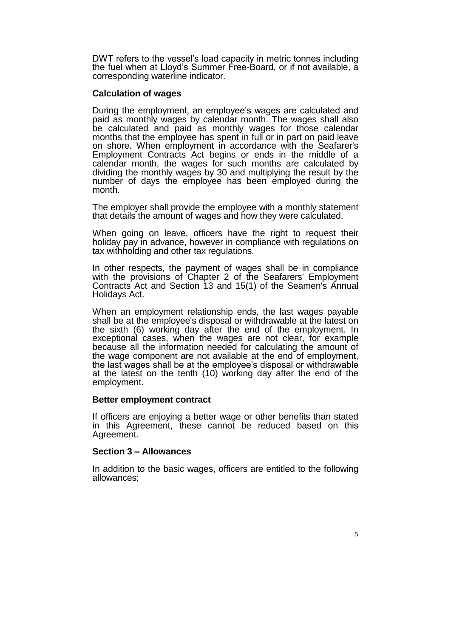DWT refers to the vessel's load capacity in metric tonnes including the fuel when at Lloyd's Summer Free-Board, or if not available, a corresponding waterline indicator.

### **Calculation of wages**

During the employment, an employee's wages are calculated and paid as monthly wages by calendar month. The wages shall also be calculated and paid as monthly wages for those calendar months that the employee has spent in full or in part on paid leave on shore. When employment in accordance with the Seafarer's Employment Contracts Act begins or ends in the middle of a calendar month, the wages for such months are calculated by dividing the monthly wages by 30 and multiplying the result by the number of days the employee has been employed during the month.

The employer shall provide the employee with a monthly statement that details the amount of wages and how they were calculated.

When going on leave, officers have the right to request their holiday pay in advance, however in compliance with regulations on tax withholding and other tax regulations.

In other respects, the payment of wages shall be in compliance with the provisions of Chapter 2 of the Seafarers' Employment Contracts Act and Section 13 and 15(1) of the Seamen's Annual Holidays Act.

When an employment relationship ends, the last wages payable shall be at the employee's disposal or withdrawable at the latest on the sixth (6) working day after the end of the employment. In exceptional cases, when the wages are not clear, for example because all the information needed for calculating the amount of the wage component are not available at the end of employment, the last wages shall be at the employee's disposal or withdrawable at the latest on the tenth (10) working day after the end of the employment.

#### **Better employment contract**

If officers are enjoying a better wage or other benefits than stated in this Agreement, these cannot be reduced based on this Agreement.

#### **Section 3 ‒ Allowances**

In addition to the basic wages, officers are entitled to the following allowances;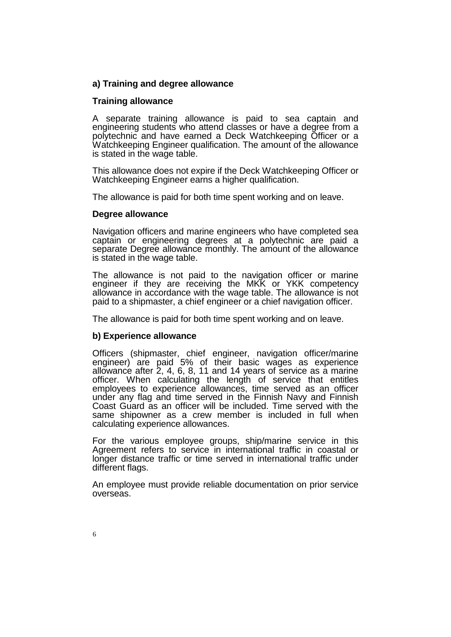## **a) Training and degree allowance**

### **Training allowance**

A separate training allowance is paid to sea captain and engineering students who attend classes or have a degree from a polytechnic and have earned a Deck Watchkeeping Officer or a Watchkeeping Engineer qualification. The amount of the allowance is stated in the wage table.

This allowance does not expire if the Deck Watchkeeping Officer or Watchkeeping Engineer earns a higher qualification.

The allowance is paid for both time spent working and on leave.

#### **Degree allowance**

Navigation officers and marine engineers who have completed sea captain or engineering degrees at a polytechnic are paid a separate Degree allowance monthly. The amount of the allowance is stated in the wage table.

The allowance is not paid to the navigation officer or marine engineer if they are receiving the MKK or YKK competency allowance in accordance with the wage table. The allowance is not paid to a shipmaster, a chief engineer or a chief navigation officer.

The allowance is paid for both time spent working and on leave.

## **b) Experience allowance**

Officers (shipmaster, chief engineer, navigation officer/marine engineer) are paid 5% of their basic wages as experience allowance after 2, 4, 6, 8, 11 and 14 years of service as a marine officer. When calculating the length of service that entitles employees to experience allowances, time served as an officer under any flag and time served in the Finnish Navy and Finnish Coast Guard as an officer will be included. Time served with the same shipowner as a crew member is included in full when calculating experience allowances.

For the various employee groups, ship/marine service in this Agreement refers to service in international traffic in coastal or longer distance traffic or time served in international traffic under different flags.

An employee must provide reliable documentation on prior service overseas.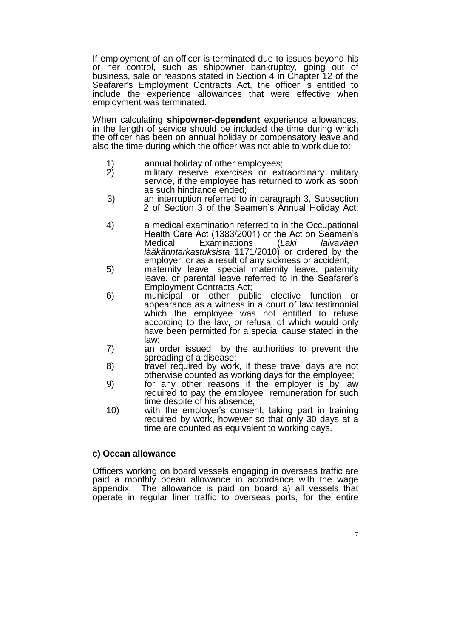If employment of an officer is terminated due to issues beyond his or her control, such as shipowner bankruptcy, going out of business, sale or reasons stated in Section 4 in Chapter 12 of the Seafarer's Employment Contracts Act, the officer is entitled to include the experience allowances that were effective when employment was terminated.

When calculating **shipowner-dependent** experience allowances, in the length of service should be included the time during which the officer has been on annual holiday or compensatory leave and also the time during which the officer was not able to work due to:

- 1) annual holiday of other employees;<br>2) military reserve exercises or ext
- military reserve exercises or extraordinary military service, if the employee has returned to work as soon as such hindrance ended;
- 3) an interruption referred to in paragraph 3, Subsection 2 of Section 3 of the Seamen's Annual Holiday Act;
- 4) a medical examination referred to in the Occupational Health Care Act (1383/2001) or the Act on Seamen's<br>Medical Examinations (Laki laivaväen Examinations (*Laki lääkärintarkastuksista* 1171/2010) or ordered by the employer or as a result of any sickness or accident;
- 5) maternity leave, special maternity leave, paternity leave, or parental leave referred to in the Seafarer's Employment Contracts Act;
- 6) municipal or other public elective function or appearance as a witness in a court of law testimonial which the employee was not entitled to refuse according to the law, or refusal of which would only have been permitted for a special cause stated in the law;
- 7) an order issued by the authorities to prevent the spreading of a disease;
- 8) travel required by work, if these travel days are not otherwise counted as working days for the employee;
- 9) for any other reasons if the employer is by law required to pay the employee remuneration for such time despite of his absence;
- 10) with the employer's consent, taking part in training required by work, however so that only 30 days at a time are counted as equivalent to working days.

## **c) Ocean allowance**

Officers working on board vessels engaging in overseas traffic are paid a monthly ocean allowance in accordance with the wage appendix. The allowance is paid on board a) all vessels that operate in regular liner traffic to overseas ports, for the entire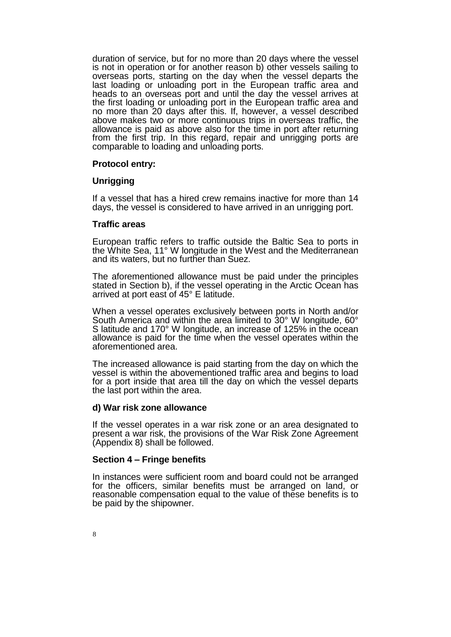duration of service, but for no more than 20 days where the vessel is not in operation or for another reason b) other vessels sailing to overseas ports, starting on the day when the vessel departs the last loading or unloading port in the European traffic area and heads to an overseas port and until the day the vessel arrives at the first loading or unloading port in the European traffic area and no more than 20 days after this. If, however, a vessel described above makes two or more continuous trips in overseas traffic, the allowance is paid as above also for the time in port after returning from the first trip. In this regard, repair and unrigging ports are comparable to loading and unloading ports.

#### **Protocol entry:**

#### **Unrigging**

If a vessel that has a hired crew remains inactive for more than 14 days, the vessel is considered to have arrived in an unrigging port.

#### **Traffic areas**

European traffic refers to traffic outside the Baltic Sea to ports in the White Sea, 11° W longitude in the West and the Mediterranean and its waters, but no further than Suez.

The aforementioned allowance must be paid under the principles stated in Section b), if the vessel operating in the Arctic Ocean has arrived at port east of 45° E latitude.

When a vessel operates exclusively between ports in North and/or South America and within the area limited to 30° W longitude, 60° S latitude and 170° W longitude, an increase of 125% in the ocean allowance is paid for the time when the vessel operates within the aforementioned area.

The increased allowance is paid starting from the day on which the vessel is within the abovementioned traffic area and begins to load for a port inside that area till the day on which the vessel departs the last port within the area.

#### **d) War risk zone allowance**

If the vessel operates in a war risk zone or an area designated to present a war risk, the provisions of the War Risk Zone Agreement (Appendix 8) shall be followed.

#### **Section 4 ‒ Fringe benefits**

In instances were sufficient room and board could not be arranged for the officers, similar benefits must be arranged on land, or reasonable compensation equal to the value of these benefits is to be paid by the shipowner.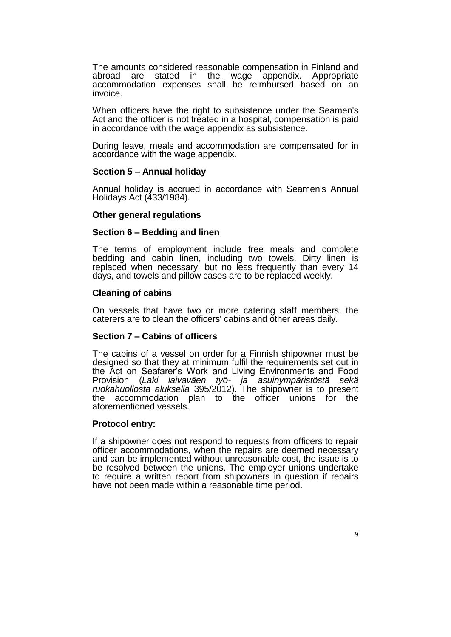The amounts considered reasonable compensation in Finland and abroad are stated in the wage appendix. Appropriate accommodation expenses shall be reimbursed based on an invoice.

When officers have the right to subsistence under the Seamen's Act and the officer is not treated in a hospital, compensation is paid in accordance with the wage appendix as subsistence.

During leave, meals and accommodation are compensated for in accordance with the wage appendix.

#### **Section 5 ‒ Annual holiday**

Annual holiday is accrued in accordance with Seamen's Annual Holidays Act (433/1984).

#### **Other general regulations**

#### **Section 6 ‒ Bedding and linen**

The terms of employment include free meals and complete bedding and cabin linen, including two towels. Dirty linen is replaced when necessary, but no less frequently than every 14 days, and towels and pillow cases are to be replaced weekly.

#### **Cleaning of cabins**

On vessels that have two or more catering staff members, the caterers are to clean the officers' cabins and other areas daily.

## **Section 7 ‒ Cabins of officers**

The cabins of a vessel on order for a Finnish shipowner must be designed so that they at minimum fulfil the requirements set out in the Act on Seafarer's Work and Living Environments and Food Provision (*Laki laivaväen työ- ja asuinympäristöstä sekä ruokahuollosta aluksella* 395/2012). The shipowner is to present the accommodation plan to the officer unions for the aforementioned vessels.

#### **Protocol entry:**

If a shipowner does not respond to requests from officers to repair officer accommodations, when the repairs are deemed necessary and can be implemented without unreasonable cost, the issue is to be resolved between the unions. The employer unions undertake to require a written report from shipowners in question if repairs have not been made within a reasonable time period.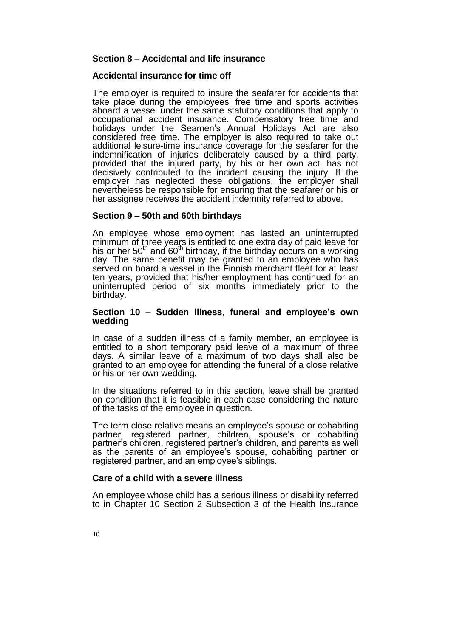### **Section 8 ‒ Accidental and life insurance**

#### **Accidental insurance for time off**

The employer is required to insure the seafarer for accidents that take place during the employees' free time and sports activities aboard a vessel under the same statutory conditions that apply to occupational accident insurance. Compensatory free time and holidays under the Seamen's Annual Holidays Act are also considered free time. The employer is also required to take out additional leisure-time insurance coverage for the seafarer for the indemnification of injuries deliberately caused by a third party, provided that the injured party, by his or her own act, has not decisively contributed to the incident causing the injury. If the employer has neglected these obligations, the employer shall nevertheless be responsible for ensuring that the seafarer or his or her assignee receives the accident indemnity referred to above.

#### **Section 9 ‒ 50th and 60th birthdays**

An employee whose employment has lasted an uninterrupted minimum of three years is entitled to one extra day of paid leave for his or her  $50<sup>th</sup>$  and  $60<sup>th</sup>$  birthday, if the birthday occurs on a working day. The same benefit may be granted to an employee who has served on board a vessel in the Finnish merchant fleet for at least ten years, provided that his/her employment has continued for an uninterrupted period of six months immediately prior to the birthday.

#### **Section 10 ‒ Sudden illness, funeral and employee's own wedding**

In case of a sudden illness of a family member, an employee is entitled to a short temporary paid leave of a maximum of three days. A similar leave of a maximum of two days shall also be granted to an employee for attending the funeral of a close relative or his or her own wedding.

In the situations referred to in this section, leave shall be granted on condition that it is feasible in each case considering the nature of the tasks of the employee in question.

The term close relative means an employee's spouse or cohabiting partner, registered partner, children, spouse's or cohabiting partner's children, registered partner's children, and parents as well as the parents of an employee's spouse, cohabiting partner or registered partner, and an employee's siblings.

#### **Care of a child with a severe illness**

An employee whose child has a serious illness or disability referred to in Chapter 10 Section 2 Subsection 3 of the Health Insurance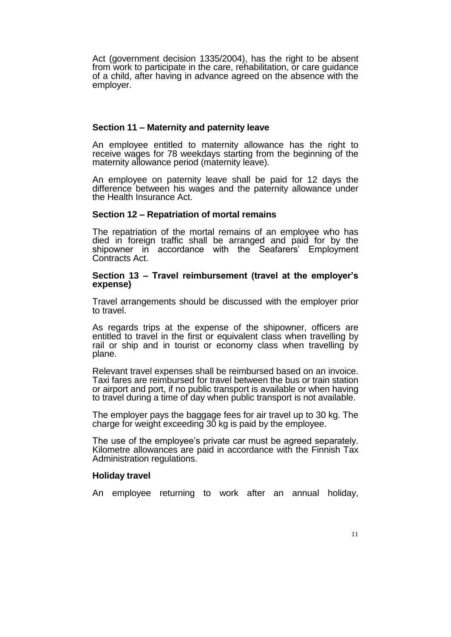Act (government decision 1335/2004), has the right to be absent from work to participate in the care, rehabilitation, or care guidance of a child, after having in advance agreed on the absence with the employer.

## **Section 11 ‒ Maternity and paternity leave**

An employee entitled to maternity allowance has the right to receive wages for 78 weekdays starting from the beginning of the maternity allowance period (maternity leave).

An employee on paternity leave shall be paid for 12 days the difference between his wages and the paternity allowance under the Health Insurance Act.

#### **Section 12 ‒ Repatriation of mortal remains**

The repatriation of the mortal remains of an employee who has died in foreign traffic shall be arranged and paid for by the shipowner in accordance with the Seafarers' Employment Contracts Act.

#### **Section 13 ‒ Travel reimbursement (travel at the employer's expense)**

Travel arrangements should be discussed with the employer prior to travel.

As regards trips at the expense of the shipowner, officers are entitled to travel in the first or equivalent class when travelling by rail or ship and in tourist or economy class when travelling by plane.

Relevant travel expenses shall be reimbursed based on an invoice. Taxi fares are reimbursed for travel between the bus or train station or airport and port, if no public transport is available or when having to travel during a time of day when public transport is not available.

The employer pays the baggage fees for air travel up to 30 kg. The charge for weight exceeding 30 kg is paid by the employee.

The use of the employee's private car must be agreed separately. Kilometre allowances are paid in accordance with the Finnish Tax Administration regulations.

#### **Holiday travel**

An employee returning to work after an annual holiday,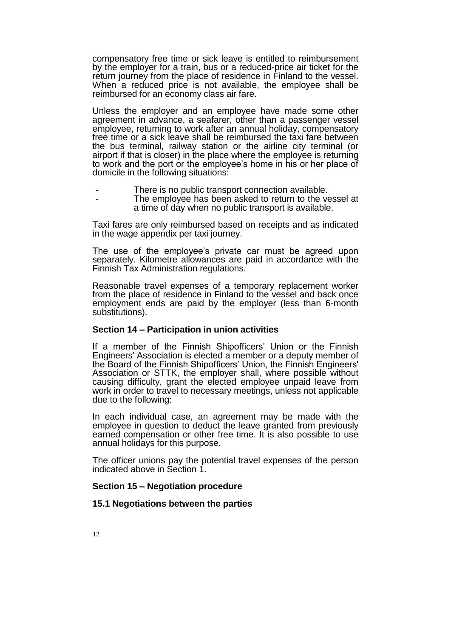compensatory free time or sick leave is entitled to reimbursement by the employer for a train, bus or a reduced-price air ticket for the return journey from the place of residence in Finland to the vessel. When a reduced price is not available, the employee shall be reimbursed for an economy class air fare.

Unless the employer and an employee have made some other agreement in advance, a seafarer, other than a passenger vessel employee, returning to work after an annual holiday, compensatory free time or a sick leave shall be reimbursed the taxi fare between the bus terminal, railway station or the airline city terminal (or airport if that is closer) in the place where the employee is returning to work and the port or the employee's home in his or her place of domicile in the following situations:

- There is no public transport connection available.
- The employee has been asked to return to the vessel at a time of day when no public transport is available.

Taxi fares are only reimbursed based on receipts and as indicated in the wage appendix per taxi journey.

The use of the employee's private car must be agreed upon separately. Kilometre allowances are paid in accordance with the Finnish Tax Administration regulations.

Reasonable travel expenses of a temporary replacement worker from the place of residence in Finland to the vessel and back once employment ends are paid by the employer (less than 6-month substitutions).

## **Section 14 ‒ Participation in union activities**

If a member of the Finnish Shipofficers' Union or the Finnish Engineers' Association is elected a member or a deputy member of the Board of the Finnish Shipofficers' Union, the Finnish Engineers' Association or STTK, the employer shall, where possible without causing difficulty, grant the elected employee unpaid leave from work in order to travel to necessary meetings, unless not applicable due to the following:

In each individual case, an agreement may be made with the employee in question to deduct the leave granted from previously earned compensation or other free time. It is also possible to use annual holidays for this purpose.

The officer unions pay the potential travel expenses of the person indicated above in Section 1.

## **Section 15 ‒ Negotiation procedure**

#### **15.1 Negotiations between the parties**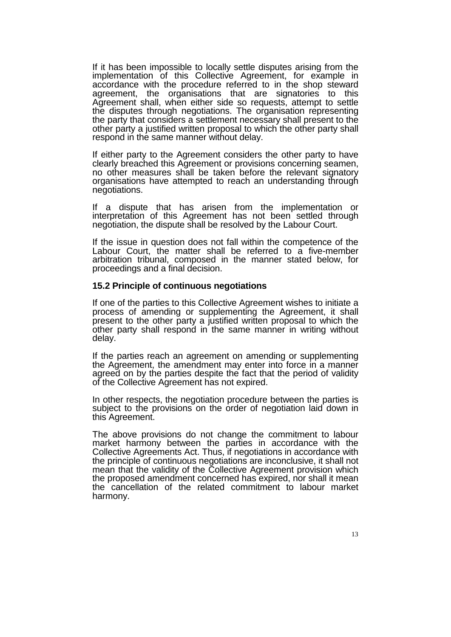If it has been impossible to locally settle disputes arising from the implementation of this Collective Agreement, for example in accordance with the procedure referred to in the shop steward agreement, the organisations that are signatories to this Agreement shall, when either side so requests, attempt to settle the disputes through negotiations. The organisation representing the party that considers a settlement necessary shall present to the other party a justified written proposal to which the other party shall respond in the same manner without delay.

If either party to the Agreement considers the other party to have clearly breached this Agreement or provisions concerning seamen, no other measures shall be taken before the relevant signatory organisations have attempted to reach an understanding through negotiations.

If a dispute that has arisen from the implementation or interpretation of this Agreement has not been settled through negotiation, the dispute shall be resolved by the Labour Court.

If the issue in question does not fall within the competence of the Labour Court, the matter shall be referred to a five-member arbitration tribunal, composed in the manner stated below, for proceedings and a final decision.

#### **15.2 Principle of continuous negotiations**

If one of the parties to this Collective Agreement wishes to initiate a process of amending or supplementing the Agreement, it shall present to the other party a justified written proposal to which the other party shall respond in the same manner in writing without delay.

If the parties reach an agreement on amending or supplementing the Agreement, the amendment may enter into force in a manner agreed on by the parties despite the fact that the period of validity of the Collective Agreement has not expired.

In other respects, the negotiation procedure between the parties is subject to the provisions on the order of negotiation laid down in this Agreement.

The above provisions do not change the commitment to labour market harmony between the parties in accordance with the Collective Agreements Act. Thus, if negotiations in accordance with the principle of continuous negotiations are inconclusive, it shall not mean that the validity of the Collective Agreement provision which the proposed amendment concerned has expired, nor shall it mean the cancellation of the related commitment to labour market harmony.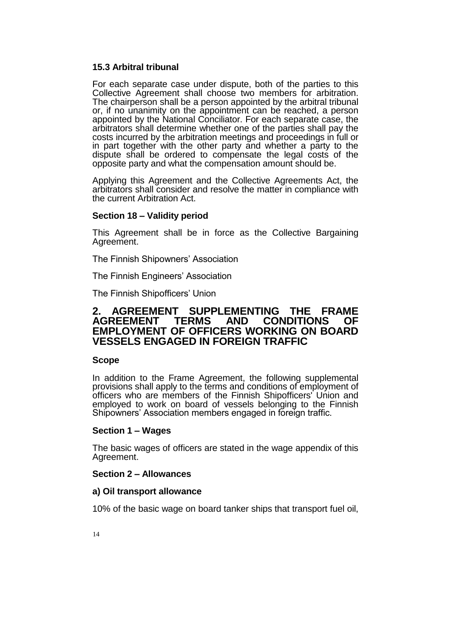## **15.3 Arbitral tribunal**

For each separate case under dispute, both of the parties to this Collective Agreement shall choose two members for arbitration. The chairperson shall be a person appointed by the arbitral tribunal or, if no unanimity on the appointment can be reached, a person appointed by the National Conciliator. For each separate case, the arbitrators shall determine whether one of the parties shall pay the costs incurred by the arbitration meetings and proceedings in full or in part together with the other party and whether a party to the dispute shall be ordered to compensate the legal costs of the opposite party and what the compensation amount should be.

Applying this Agreement and the Collective Agreements Act, the arbitrators shall consider and resolve the matter in compliance with the current Arbitration Act.

## **Section 18 ‒ Validity period**

This Agreement shall be in force as the Collective Bargaining Agreement.

The Finnish Shipowners' Association

The Finnish Engineers' Association

The Finnish Shipofficers' Union

## **2. AGREEMENT SUPPLEMENTING THE FRAME AND CONDITIONS OF EMPLOYMENT OF OFFICERS WORKING ON BOARD VESSELS ENGAGED IN FOREIGN TRAFFIC**

## **Scope**

In addition to the Frame Agreement, the following supplemental provisions shall apply to the terms and conditions of employment of officers who are members of the Finnish Shipofficers' Union and employed to work on board of vessels belonging to the Finnish Shipowners' Association members engaged in foreign traffic.

#### **Section 1 ‒ Wages**

The basic wages of officers are stated in the wage appendix of this Agreement.

## **Section 2 ‒ Allowances**

## **a) Oil transport allowance**

10% of the basic wage on board tanker ships that transport fuel oil,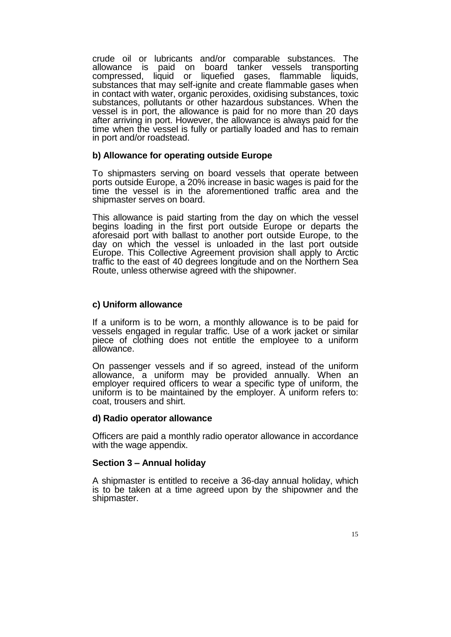crude oil or lubricants and/or comparable substances. The allowance is paid on board tanker vessels transporting compressed, liquid or liquefied gases, flammable liquids, substances that may self-ignite and create flammable gases when in contact with water, organic peroxides, oxidising substances, toxic substances, pollutants or other hazardous substances. When the vessel is in port, the allowance is paid for no more than 20 days after arriving in port. However, the allowance is always paid for the time when the vessel is fully or partially loaded and has to remain in port and/or roadstead.

## **b) Allowance for operating outside Europe**

To shipmasters serving on board vessels that operate between ports outside Europe, a 20% increase in basic wages is paid for the time the vessel is in the aforementioned traffic area and the shipmaster serves on board.

This allowance is paid starting from the day on which the vessel begins loading in the first port outside Europe or departs the aforesaid port with ballast to another port outside Europe, to the day on which the vessel is unloaded in the last port outside Europe. This Collective Agreement provision shall apply to Arctic traffic to the east of 40 degrees longitude and on the Northern Sea Route, unless otherwise agreed with the shipowner.

## **c) Uniform allowance**

If a uniform is to be worn, a monthly allowance is to be paid for vessels engaged in regular traffic. Use of a work jacket or similar piece of clothing does not entitle the employee to a uniform allowance.

On passenger vessels and if so agreed, instead of the uniform allowance, a uniform may be provided annually. When an employer required officers to wear a specific type of uniform, the uniform is to be maintained by the employer. A uniform refers to: coat, trousers and shirt.

#### **d) Radio operator allowance**

Officers are paid a monthly radio operator allowance in accordance with the wage appendix.

#### **Section 3 ‒ Annual holiday**

A shipmaster is entitled to receive a 36-day annual holiday, which is to be taken at a time agreed upon by the shipowner and the shipmaster.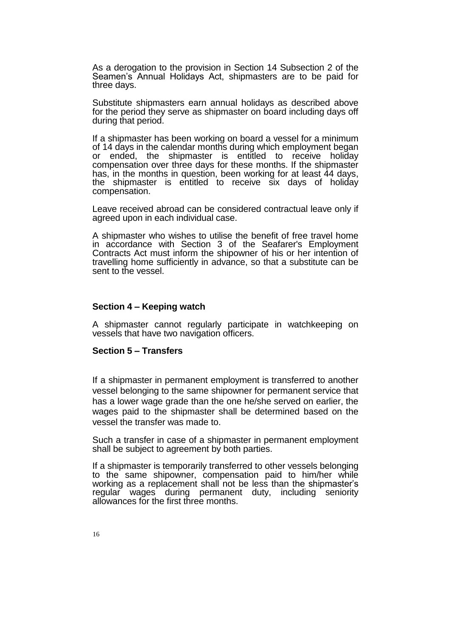As a derogation to the provision in Section 14 Subsection 2 of the Seamen's Annual Holidays Act, shipmasters are to be paid for three days.

Substitute shipmasters earn annual holidays as described above for the period they serve as shipmaster on board including days off during that period.

If a shipmaster has been working on board a vessel for a minimum of 14 days in the calendar months during which employment began or ended, the shipmaster is entitled to receive holiday compensation over three days for these months. If the shipmaster has, in the months in question, been working for at least 44 days, the shipmaster is entitled to receive six days of holiday compensation.

Leave received abroad can be considered contractual leave only if agreed upon in each individual case.

A shipmaster who wishes to utilise the benefit of free travel home in accordance with Section 3 of the Seafarer's Employment Contracts Act must inform the shipowner of his or her intention of travelling home sufficiently in advance, so that a substitute can be sent to the vessel.

#### **Section 4 ‒ Keeping watch**

A shipmaster cannot regularly participate in watchkeeping on vessels that have two navigation officers.

#### **Section 5 ‒ Transfers**

If a shipmaster in permanent employment is transferred to another vessel belonging to the same shipowner for permanent service that has a lower wage grade than the one he/she served on earlier, the wages paid to the shipmaster shall be determined based on the vessel the transfer was made to.

Such a transfer in case of a shipmaster in permanent employment shall be subject to agreement by both parties.

If a shipmaster is temporarily transferred to other vessels belonging to the same shipowner, compensation paid to him/her while working as a replacement shall not be less than the shipmaster's regular wages during permanent duty, including seniority allowances for the first three months.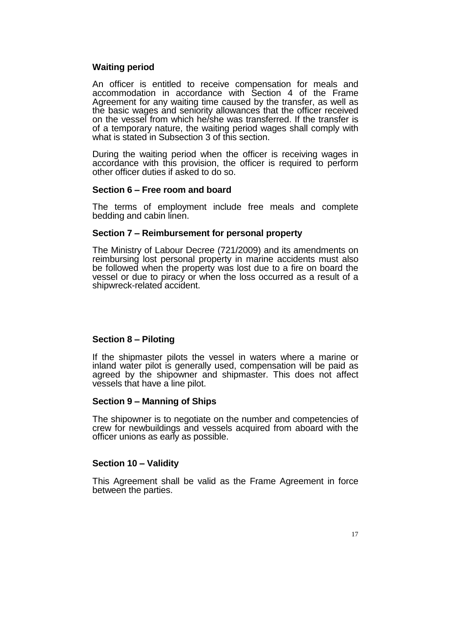## **Waiting period**

An officer is entitled to receive compensation for meals and accommodation in accordance with Section 4 of the Frame Agreement for any waiting time caused by the transfer, as well as the basic wages and seniority allowances that the officer received on the vessel from which he/she was transferred. If the transfer is of a temporary nature, the waiting period wages shall comply with what is stated in Subsection 3 of this section.

During the waiting period when the officer is receiving wages in accordance with this provision, the officer is required to perform other officer duties if asked to do so.

#### **Section 6 ‒ Free room and board**

The terms of employment include free meals and complete bedding and cabin linen.

#### **Section 7 ‒ Reimbursement for personal property**

The Ministry of Labour Decree (721/2009) and its amendments on reimbursing lost personal property in marine accidents must also be followed when the property was lost due to a fire on board the vessel or due to piracy or when the loss occurred as a result of a shipwreck-related accident.

#### **Section 8 ‒ Piloting**

If the shipmaster pilots the vessel in waters where a marine or inland water pilot is generally used, compensation will be paid as agreed by the shipowner and shipmaster. This does not affect vessels that have a line pilot.

#### **Section 9 ‒ Manning of Ships**

The shipowner is to negotiate on the number and competencies of crew for newbuildings and vessels acquired from aboard with the officer unions as early as possible.

#### **Section 10 ‒ Validity**

This Agreement shall be valid as the Frame Agreement in force between the parties.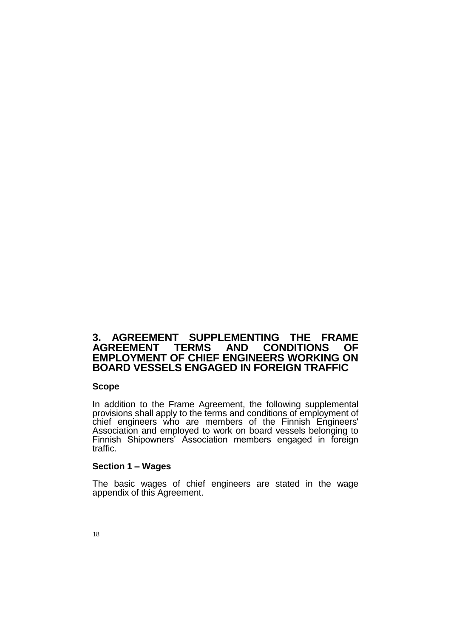## **3. AGREEMENT SUPPLEMENTING THE FRAME TERMS AND CONDITIONS EMPLOYMENT OF CHIEF ENGINEERS WORKING ON BOARD VESSELS ENGAGED IN FOREIGN TRAFFIC**

#### **Scope**

In addition to the Frame Agreement, the following supplemental provisions shall apply to the terms and conditions of employment of chief engineers who are members of the Finnish Engineers' Association and employed to work on board vessels belonging to Finnish Shipowners' Association members engaged in foreign traffic.

#### **Section 1 ‒ Wages**

The basic wages of chief engineers are stated in the wage appendix of this Agreement.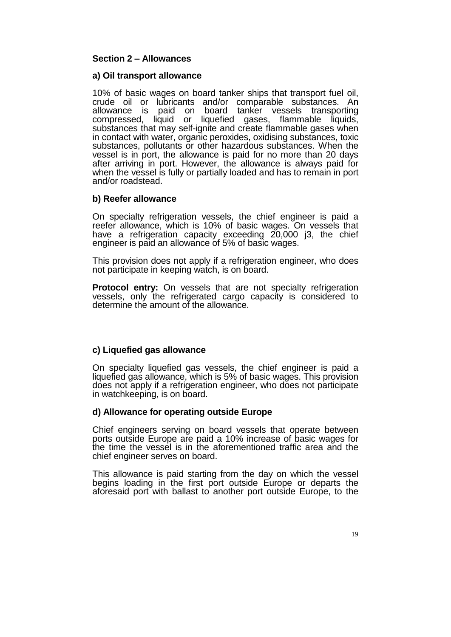## **Section 2 ‒ Allowances**

#### **a) Oil transport allowance**

10% of basic wages on board tanker ships that transport fuel oil, crude oil or lubricants and/or comparable substances. An allowance is paid on board tanker vessels transporting compressed, liquid or liquefied gases, flammable liquids, substances that may self-ignite and create flammable gases when in contact with water, organic peroxides, oxidising substances, toxic substances, pollutants or other hazardous substances. When the vessel is in port, the allowance is paid for no more than 20 days after arriving in port. However, the allowance is always paid for when the vessel is fully or partially loaded and has to remain in port and/or roadstead.

## **b) Reefer allowance**

On specialty refrigeration vessels, the chief engineer is paid a reefer allowance, which is 10% of basic wages. On vessels that have a refrigeration capacity exceeding 20,000 i3, the chief engineer is paid an allowance of 5% of basic wages.

This provision does not apply if a refrigeration engineer, who does not participate in keeping watch, is on board.

**Protocol entry:** On vessels that are not specialty refrigeration vessels, only the refrigerated cargo capacity is considered to determine the amount of the allowance.

## **c) Liquefied gas allowance**

On specialty liquefied gas vessels, the chief engineer is paid a liquefied gas allowance, which is 5% of basic wages. This provision does not apply if a refrigeration engineer, who does not participate in watchkeeping, is on board.

## **d) Allowance for operating outside Europe**

Chief engineers serving on board vessels that operate between ports outside Europe are paid a 10% increase of basic wages for the time the vessel is in the aforementioned traffic area and the chief engineer serves on board.

This allowance is paid starting from the day on which the vessel begins loading in the first port outside Europe or departs the aforesaid port with ballast to another port outside Europe, to the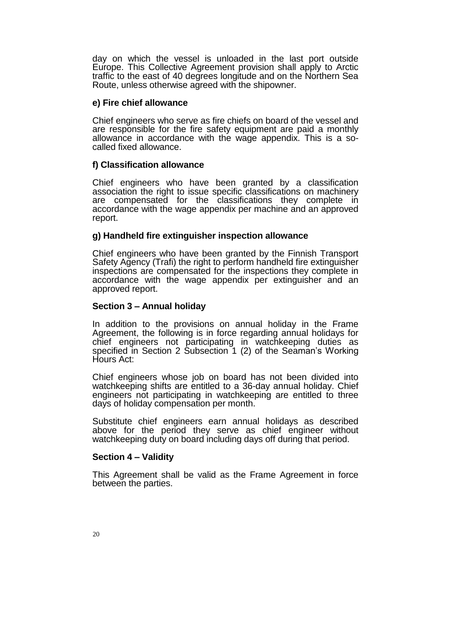day on which the vessel is unloaded in the last port outside Europe. This Collective Agreement provision shall apply to Arctic traffic to the east of 40 degrees longitude and on the Northern Sea Route, unless otherwise agreed with the shipowner.

### **e) Fire chief allowance**

Chief engineers who serve as fire chiefs on board of the vessel and are responsible for the fire safety equipment are paid a monthly allowance in accordance with the wage appendix. This is a socalled fixed allowance.

## **f) Classification allowance**

Chief engineers who have been granted by a classification association the right to issue specific classifications on machinery are compensated for the classifications they complete in accordance with the wage appendix per machine and an approved report.

## **g) Handheld fire extinguisher inspection allowance**

Chief engineers who have been granted by the Finnish Transport Safety Agency (Trafi) the right to perform handheld fire extinguisher inspections are compensated for the inspections they complete in accordance with the wage appendix per extinguisher and an approved report.

## **Section 3 ‒ Annual holiday**

In addition to the provisions on annual holiday in the Frame Agreement, the following is in force regarding annual holidays for chief engineers not participating in watchkeeping duties as specified in Section 2 Subsection 1 (2) of the Seaman's Working Hours Act:

Chief engineers whose job on board has not been divided into watchkeeping shifts are entitled to a 36-day annual holiday. Chief engineers not participating in watchkeeping are entitled to three days of holiday compensation per month.

Substitute chief engineers earn annual holidays as described above for the period they serve as chief engineer without watchkeeping duty on board including days off during that period.

## **Section 4 ‒ Validity**

This Agreement shall be valid as the Frame Agreement in force between the parties.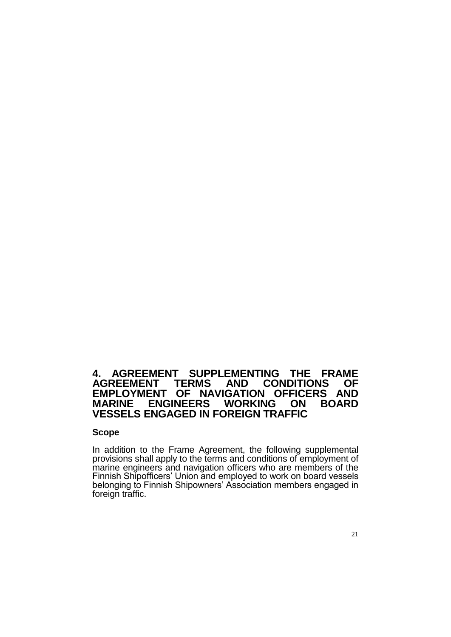## **4. AGREEMENT SUPPLEMENTING THE FRAME AGREEMENT EMPLOYMENT OF NAVIGATION OFFICERS AND ENGINEERS VESSELS ENGAGED IN FOREIGN TRAFFIC**

#### **Scope**

In addition to the Frame Agreement, the following supplemental provisions shall apply to the terms and conditions of employment of marine engineers and navigation officers who are members of the Finnish Shipofficers' Union and employed to work on board vessels belonging to Finnish Shipowners' Association members engaged in foreign traffic.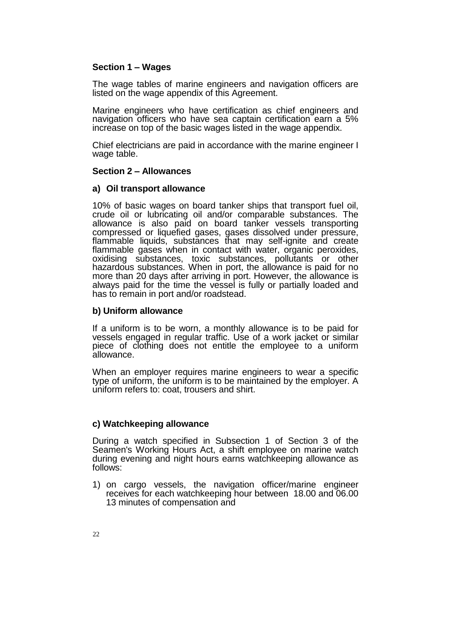## **Section 1 ‒ Wages**

The wage tables of marine engineers and navigation officers are listed on the wage appendix of this Agreement.

Marine engineers who have certification as chief engineers and navigation officers who have sea captain certification earn a 5% increase on top of the basic wages listed in the wage appendix.

Chief electricians are paid in accordance with the marine engineer I wage table.

#### **Section 2 ‒ Allowances**

#### **a) Oil transport allowance**

10% of basic wages on board tanker ships that transport fuel oil, crude oil or lubricating oil and/or comparable substances. The allowance is also paid on board tanker vessels transporting compressed or liquefied gases, gases dissolved under pressure, flammable liquids, substances that may self-ignite and create flammable gases when in contact with water, organic peroxides, oxidising substances, toxic substances, pollutants or other hazardous substances. When in port, the allowance is paid for no more than 20 days after arriving in port. However, the allowance is always paid for the time the vessel is fully or partially loaded and has to remain in port and/or roadstead.

## **b) Uniform allowance**

If a uniform is to be worn, a monthly allowance is to be paid for vessels engaged in regular traffic. Use of a work jacket or similar piece of clothing does not entitle the employee to a uniform allowance.

When an employer requires marine engineers to wear a specific type of uniform, the uniform is to be maintained by the employer. A uniform refers to: coat, trousers and shirt.

#### **c) Watchkeeping allowance**

During a watch specified in Subsection 1 of Section 3 of the Seamen's Working Hours Act, a shift employee on marine watch during evening and night hours earns watchkeeping allowance as follows:

1) on cargo vessels, the navigation officer/marine engineer receives for each watchkeeping hour between 18.00 and 06.00 13 minutes of compensation and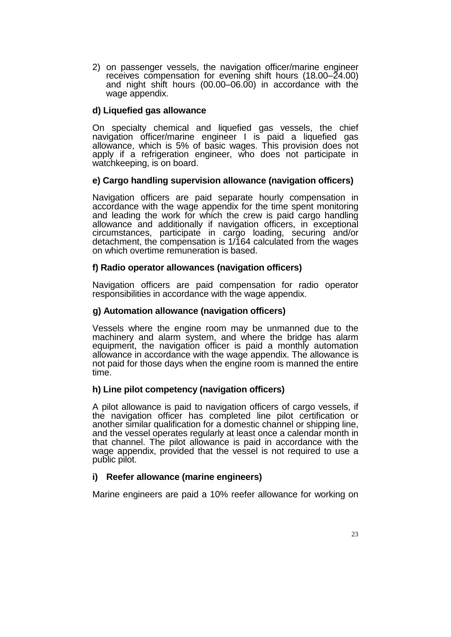2) on passenger vessels, the navigation officer/marine engineer receives compensation for evening shift hours (18.00–24.00) and night shift hours (00.00–06.00) in accordance with the wage appendix.

## **d) Liquefied gas allowance**

On specialty chemical and liquefied gas vessels, the chief navigation officer/marine engineer I is paid a liquefied gas allowance, which is 5% of basic wages. This provision does not apply if a refrigeration engineer, who does not participate in watchkeeping, is on board.

## **e) Cargo handling supervision allowance (navigation officers)**

Navigation officers are paid separate hourly compensation in accordance with the wage appendix for the time spent monitoring and leading the work for which the crew is paid cargo handling allowance and additionally if navigation officers, in exceptional circumstances, participate in cargo loading, securing and/or detachment, the compensation is 1/164 calculated from the wages on which overtime remuneration is based.

## **f) Radio operator allowances (navigation officers)**

Navigation officers are paid compensation for radio operator responsibilities in accordance with the wage appendix.

## **g) Automation allowance (navigation officers)**

Vessels where the engine room may be unmanned due to the machinery and alarm system, and where the bridge has alarm equipment, the navigation officer is paid a monthly automation allowance in accordance with the wage appendix. The allowance is not paid for those days when the engine room is manned the entire time.

## **h) Line pilot competency (navigation officers)**

A pilot allowance is paid to navigation officers of cargo vessels, if the navigation officer has completed line pilot certification or another similar qualification for a domestic channel or shipping line, and the vessel operates regularly at least once a calendar month in that channel. The pilot allowance is paid in accordance with the wage appendix, provided that the vessel is not required to use a public pilot.

## **i) Reefer allowance (marine engineers)**

Marine engineers are paid a 10% reefer allowance for working on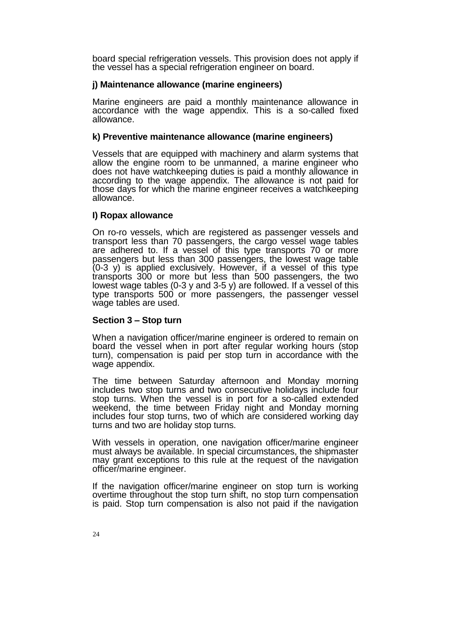board special refrigeration vessels. This provision does not apply if the vessel has a special refrigeration engineer on board.

### **j) Maintenance allowance (marine engineers)**

Marine engineers are paid a monthly maintenance allowance in accordance with the wage appendix. This is a so-called fixed allowance.

#### **k) Preventive maintenance allowance (marine engineers)**

Vessels that are equipped with machinery and alarm systems that allow the engine room to be unmanned, a marine engineer who does not have watchkeeping duties is paid a monthly allowance in according to the wage appendix. The allowance is not paid for those days for which the marine engineer receives a watchkeeping allowance.

## **I) Ropax allowance**

On ro-ro vessels, which are registered as passenger vessels and transport less than 70 passengers, the cargo vessel wage tables are adhered to. If a vessel of this type transports 70 or more passengers but less than 300 passengers, the lowest wage table (0-3 y) is applied exclusively. However, if a vessel of this type transports 300 or more but less than 500 passengers, the two lowest wage tables (0-3 y and 3-5 y) are followed. If a vessel of this type transports 500 or more passengers, the passenger vessel wage tables are used.

#### **Section 3 ‒ Stop turn**

When a navigation officer/marine engineer is ordered to remain on board the vessel when in port after regular working hours (stop turn), compensation is paid per stop turn in accordance with the wage appendix.

The time between Saturday afternoon and Monday morning includes two stop turns and two consecutive holidays include four stop turns. When the vessel is in port for a so-called extended weekend, the time between Friday night and Monday morning includes four stop turns, two of which are considered working day turns and two are holiday stop turns.

With vessels in operation, one navigation officer/marine engineer must always be available. In special circumstances, the shipmaster may grant exceptions to this rule at the request of the navigation officer/marine engineer.

If the navigation officer/marine engineer on stop turn is working overtime throughout the stop turn shift, no stop turn compensation is paid. Stop turn compensation is also not paid if the navigation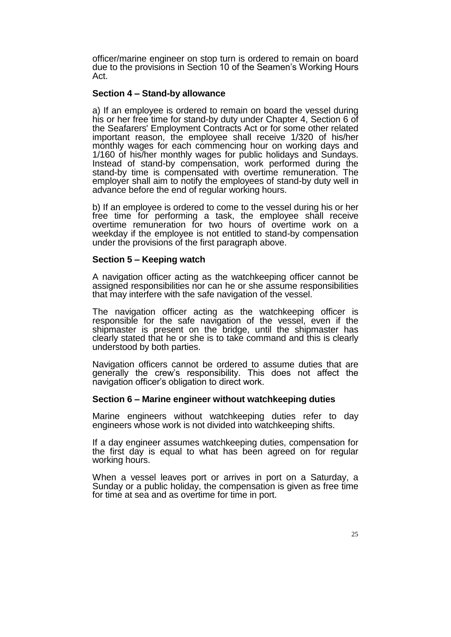officer/marine engineer on stop turn is ordered to remain on board due to the provisions in Section 10 of the Seamen's Working Hours Act.

### **Section 4 ‒ Stand-by allowance**

a) If an employee is ordered to remain on board the vessel during his or her free time for stand-by duty under Chapter 4, Section 6 of the Seafarers' Employment Contracts Act or for some other related important reason, the employee shall receive 1/320 of his/her monthly wages for each commencing hour on working days and 1/160 of his/her monthly wages for public holidays and Sundays. Instead of stand-by compensation, work performed during the stand-by time is compensated with overtime remuneration. The employer shall aim to notify the employees of stand-by duty well in advance before the end of regular working hours.

b) If an employee is ordered to come to the vessel during his or her free time for performing a task, the employee shall receive overtime remuneration for two hours of overtime work on a weekday if the employee is not entitled to stand-by compensation under the provisions of the first paragraph above.

#### **Section 5 ‒ Keeping watch**

A navigation officer acting as the watchkeeping officer cannot be assigned responsibilities nor can he or she assume responsibilities that may interfere with the safe navigation of the vessel.

The navigation officer acting as the watchkeeping officer is responsible for the safe navigation of the vessel, even if the shipmaster is present on the bridge, until the shipmaster has clearly stated that he or she is to take command and this is clearly understood by both parties.

Navigation officers cannot be ordered to assume duties that are generally the crew's responsibility. This does not affect the navigation officer's obligation to direct work.

#### **Section 6 ‒ Marine engineer without watchkeeping duties**

Marine engineers without watchkeeping duties refer to day engineers whose work is not divided into watchkeeping shifts.

If a day engineer assumes watchkeeping duties, compensation for the first day is equal to what has been agreed on for regular working hours.

When a vessel leaves port or arrives in port on a Saturday, a Sunday or a public holiday, the compensation is given as free time for time at sea and as overtime for time in port.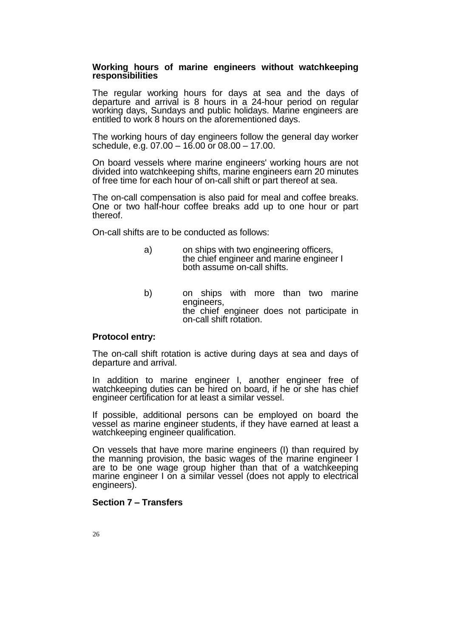#### **Working hours of marine engineers without watchkeeping responsibilities**

The regular working hours for days at sea and the days of departure and arrival is 8 hours in a 24-hour period on regular working days, Sundays and public holidays. Marine engineers are entitled to work 8 hours on the aforementioned days.

The working hours of day engineers follow the general day worker schedule, e.g. 07.00 – 16.00 or 08.00 – 17.00.

On board vessels where marine engineers' working hours are not divided into watchkeeping shifts, marine engineers earn 20 minutes of free time for each hour of on-call shift or part thereof at sea.

The on-call compensation is also paid for meal and coffee breaks. One or two half-hour coffee breaks add up to one hour or part thereof.

On-call shifts are to be conducted as follows:

- a) on ships with two engineering officers, the chief engineer and marine engineer I both assume on-call shifts.
- b) on ships with more than two marine engineers, the chief engineer does not participate in on-call shift rotation.

#### **Protocol entry:**

The on-call shift rotation is active during days at sea and days of departure and arrival.

In addition to marine engineer I, another engineer free of watchkeeping duties can be hired on board, if he or she has chief engineer certification for at least a similar vessel.

If possible, additional persons can be employed on board the vessel as marine engineer students, if they have earned at least a watchkeeping engineer qualification.

On vessels that have more marine engineers (I) than required by the manning provision, the basic wages of the marine engineer I are to be one wage group higher than that of a watchkeeping marine engineer I on a similar vessel (does not apply to electrical engineers).

## **Section 7 ‒ Transfers**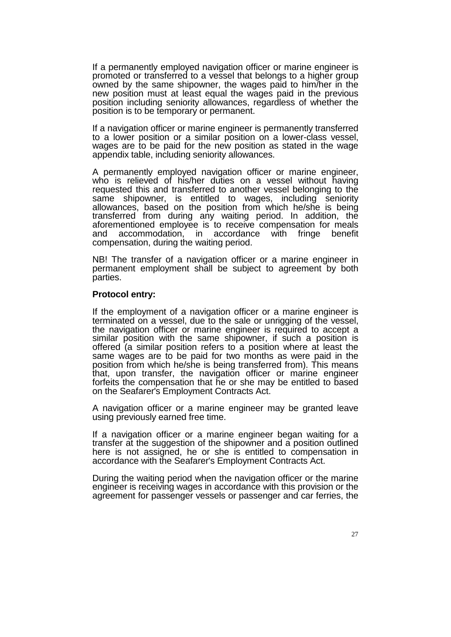If a permanently employed navigation officer or marine engineer is promoted or transferred to a vessel that belongs to a higher group owned by the same shipowner, the wages paid to him/her in the new position must at least equal the wages paid in the previous position including seniority allowances, regardless of whether the position is to be temporary or permanent.

If a navigation officer or marine engineer is permanently transferred to a lower position or a similar position on a lower-class vessel, wages are to be paid for the new position as stated in the wage appendix table, including seniority allowances.

A permanently employed navigation officer or marine engineer, who is relieved of his/her duties on a vessel without having requested this and transferred to another vessel belonging to the same shipowner, is entitled to wages, including seniority allowances, based on the position from which he/she is being transferred from during any waiting period. In addition, the aforementioned employee is to receive compensation for meals and accommodation, in accordance with fringe benefit compensation, during the waiting period.

NB! The transfer of a navigation officer or a marine engineer in permanent employment shall be subject to agreement by both parties.

#### **Protocol entry:**

If the employment of a navigation officer or a marine engineer is terminated on a vessel, due to the sale or unrigging of the vessel, the navigation officer or marine engineer is required to accept a similar position with the same shipowner, if such a position is offered (a similar position refers to a position where at least the same wages are to be paid for two months as were paid in the position from which he/she is being transferred from). This means that, upon transfer, the navigation officer or marine engineer forfeits the compensation that he or she may be entitled to based on the Seafarer's Employment Contracts Act.

A navigation officer or a marine engineer may be granted leave using previously earned free time.

If a navigation officer or a marine engineer began waiting for a transfer at the suggestion of the shipowner and a position outlined here is not assigned, he or she is entitled to compensation in accordance with the Seafarer's Employment Contracts Act.

During the waiting period when the navigation officer or the marine engineer is receiving wages in accordance with this provision or the agreement for passenger vessels or passenger and car ferries, the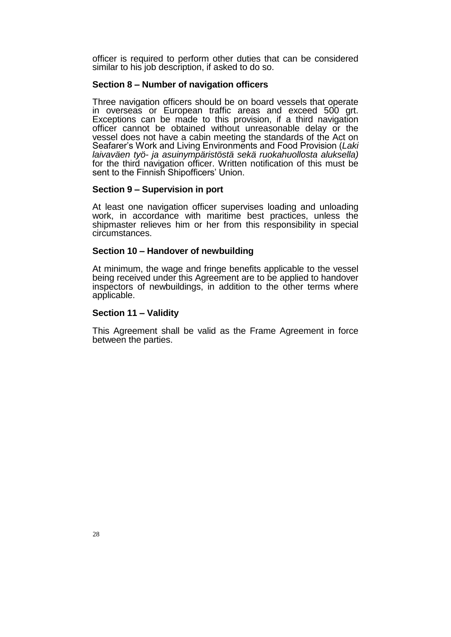officer is required to perform other duties that can be considered similar to his job description, if asked to do so.

#### **Section 8 ‒ Number of navigation officers**

Three navigation officers should be on board vessels that operate in overseas or European traffic areas and exceed 500 grt. Exceptions can be made to this provision, if a third navigation officer cannot be obtained without unreasonable delay or the vessel does not have a cabin meeting the standards of the Act on Seafarer's Work and Living Environments and Food Provision (*Laki laivaväen työ- ja asuinympäristöstä sekä ruokahuollosta aluksella)* for the third navigation officer. Written notification of this must be sent to the Finnish Shipofficers' Union.

#### **Section 9 ‒ Supervision in port**

At least one navigation officer supervises loading and unloading work, in accordance with maritime best practices, unless the shipmaster relieves him or her from this responsibility in special circumstances.

#### **Section 10 ‒ Handover of newbuilding**

At minimum, the wage and fringe benefits applicable to the vessel being received under this Agreement are to be applied to handover inspectors of newbuildings, in addition to the other terms where applicable.

#### **Section 11 ‒ Validity**

This Agreement shall be valid as the Frame Agreement in force between the parties.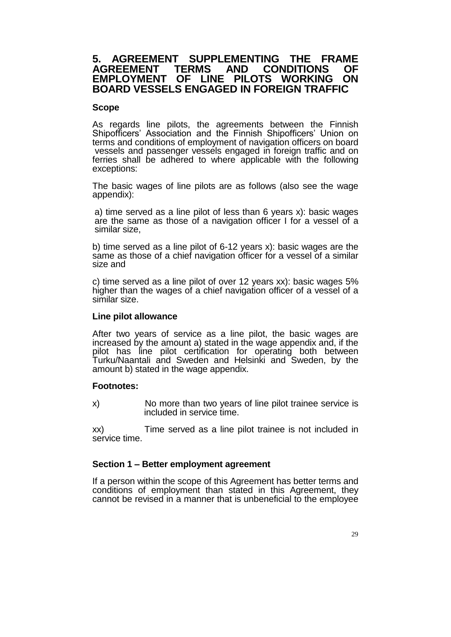## **5. AGREEMENT SUPPLEMENTING THE FRAME AGREEMENT TERMS AND CONDITIONS OF EMPLOYMENT OF LINE PILOTS WORKING ON BOARD VESSELS ENGAGED IN FOREIGN TRAFFIC**

## **Scope**

As regards line pilots, the agreements between the Finnish Shipofficers' Association and the Finnish Shipofficers' Union on terms and conditions of employment of navigation officers on board vessels and passenger vessels engaged in foreign traffic and on ferries shall be adhered to where applicable with the following exceptions:

The basic wages of line pilots are as follows (also see the wage appendix):

a) time served as a line pilot of less than 6 years x): basic wages are the same as those of a navigation officer I for a vessel of a similar size,

b) time served as a line pilot of 6-12 years x): basic wages are the same as those of a chief navigation officer for a vessel of a similar size and

c) time served as a line pilot of over 12 years xx): basic wages 5% higher than the wages of a chief navigation officer of a vessel of a similar size.

### **Line pilot allowance**

After two years of service as a line pilot, the basic wages are increased by the amount a) stated in the wage appendix and, if the pilot has line pilot certification for operating both between Turku/Naantali and Sweden and Helsinki and Sweden, by the amount b) stated in the wage appendix.

## **Footnotes:**

x) No more than two years of line pilot trainee service is included in service time.

xx) Time served as a line pilot trainee is not included in service time.

## **Section 1 ‒ Better employment agreement**

If a person within the scope of this Agreement has better terms and conditions of employment than stated in this Agreement, they cannot be revised in a manner that is unbeneficial to the employee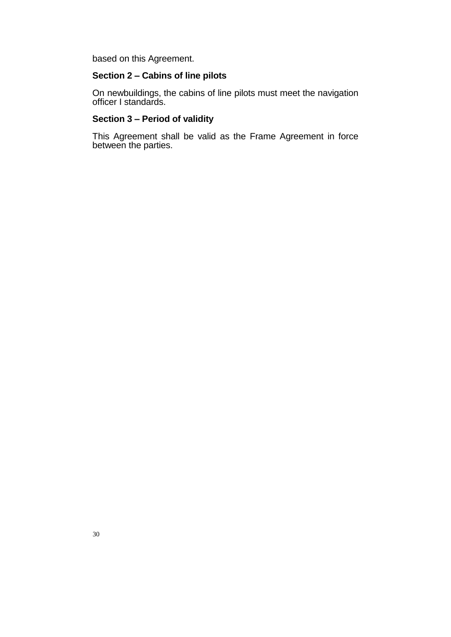based on this Agreement.

#### **Section 2 ‒ Cabins of line pilots**

On newbuildings, the cabins of line pilots must meet the navigation officer I standards.

#### **Section 3 ‒ Period of validity**

This Agreement shall be valid as the Frame Agreement in force between the parties.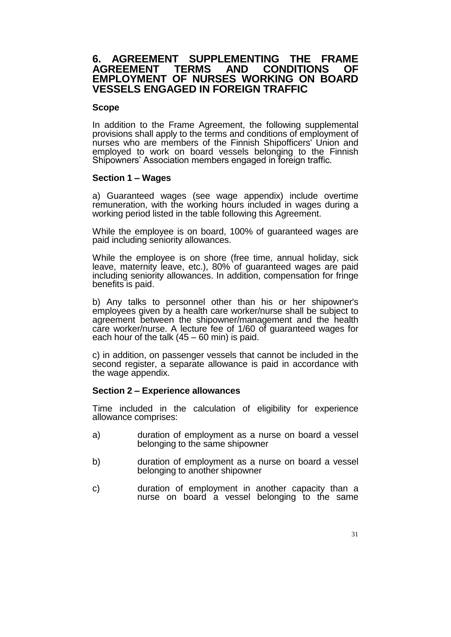## **6. AGREEMENT SUPPLEMENTING THE FRAME AGREEMENT TERMS AND CONDITIONS OF EMPLOYMENT OF NURSES WORKING ON BOARD VESSELS ENGAGED IN FOREIGN TRAFFIC**

#### **Scope**

In addition to the Frame Agreement, the following supplemental provisions shall apply to the terms and conditions of employment of nurses who are members of the Finnish Shipofficers' Union and employed to work on board vessels belonging to the Finnish Shipowners' Association members engaged in foreign traffic.

## **Section 1 ‒ Wages**

a) Guaranteed wages (see wage appendix) include overtime remuneration, with the working hours included in wages during a working period listed in the table following this Agreement.

While the employee is on board, 100% of guaranteed wages are paid including seniority allowances.

While the employee is on shore (free time, annual holiday, sick leave, maternity leave, etc.), 80% of guaranteed wages are paid including seniority allowances. In addition, compensation for fringe benefits is paid.

b) Any talks to personnel other than his or her shipowner's employees given by a health care worker/nurse shall be subject to agreement between the shipowner/management and the health care worker/nurse. A lecture fee of 1/60 of guaranteed wages for each hour of the talk (45 – 60 min) is paid.

c) in addition, on passenger vessels that cannot be included in the second register, a separate allowance is paid in accordance with the wage appendix.

## **Section 2 ‒ Experience allowances**

Time included in the calculation of eligibility for experience allowance comprises:

- a) duration of employment as a nurse on board a vessel belonging to the same shipowner
- b) duration of employment as a nurse on board a vessel belonging to another shipowner
- c) duration of employment in another capacity than a nurse on board a vessel belonging to the same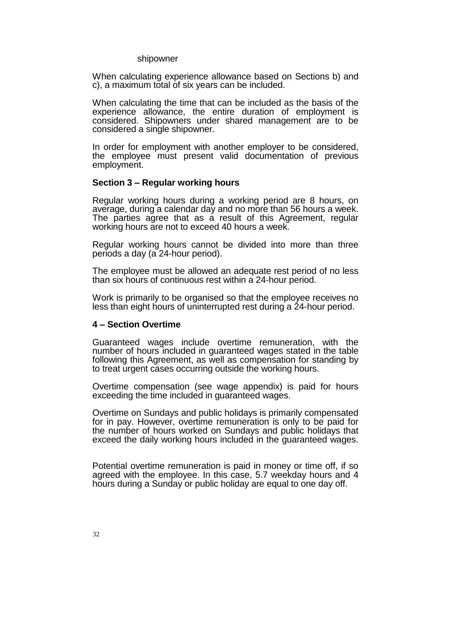#### shipowner

When calculating experience allowance based on Sections b) and c), a maximum total of six years can be included.

When calculating the time that can be included as the basis of the experience allowance, the entire duration of employment is considered. Shipowners under shared management are to be considered a single shipowner.

In order for employment with another employer to be considered, the employee must present valid documentation of previous employment.

#### **Section 3 ‒ Regular working hours**

Regular working hours during a working period are 8 hours, on average, during a calendar day and no more than 56 hours a week. The parties agree that as a result of this Agreement, regular working hours are not to exceed 40 hours a week.

Regular working hours cannot be divided into more than three periods a day (a 24-hour period).

The employee must be allowed an adequate rest period of no less than six hours of continuous rest within a 24-hour period.

Work is primarily to be organised so that the employee receives no less than eight hours of uninterrupted rest during a 24-hour period.

#### **4 ‒ Section Overtime**

Guaranteed wages include overtime remuneration, with the number of hours included in guaranteed wages stated in the table following this Agreement, as well as compensation for standing by to treat urgent cases occurring outside the working hours.

Overtime compensation (see wage appendix) is paid for hours exceeding the time included in guaranteed wages.

Overtime on Sundays and public holidays is primarily compensated for in pay. However, overtime remuneration is only to be paid for the number of hours worked on Sundays and public holidays that exceed the daily working hours included in the guaranteed wages.

Potential overtime remuneration is paid in money or time off, if so agreed with the employee. In this case, 5.7 weekday hours and 4 hours during a Sunday or public holiday are equal to one day off.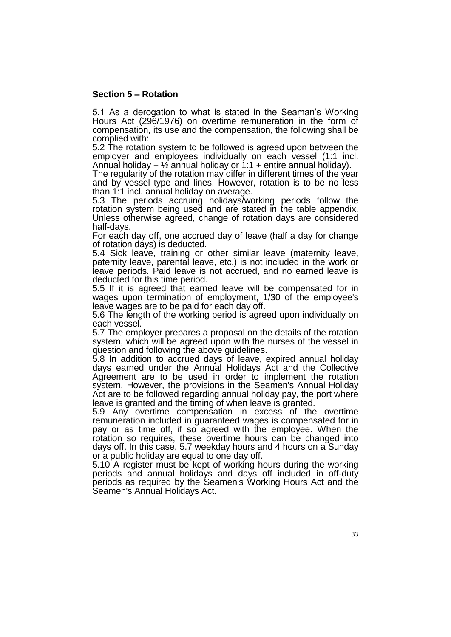## **Section 5 ‒ Rotation**

5.1 As a derogation to what is stated in the Seaman's Working Hours Act (296/1976) on overtime remuneration in the form of compensation, its use and the compensation, the following shall be complied with:

5.2 The rotation system to be followed is agreed upon between the employer and employees individually on each vessel (1:1 incl. Annual holiday +  $\frac{1}{2}$  annual holiday or 1:1 + entire annual holiday).

The regularity of the rotation may differ in different times of the year and by vessel type and lines. However, rotation is to be no less than 1:1 incl. annual holiday on average.

5.3 The periods accruing holidays/working periods follow the rotation system being used and are stated in the table appendix. Unless otherwise agreed, change of rotation days are considered half-days.

For each day off, one accrued day of leave (half a day for change of rotation days) is deducted.

5.4 Sick leave, training or other similar leave (maternity leave, paternity leave, parental leave, etc.) is not included in the work or leave periods. Paid leave is not accrued, and no earned leave is deducted for this time period.

5.5 If it is agreed that earned leave will be compensated for in wages upon termination of employment, 1/30 of the employee's leave wages are to be paid for each day off.

5.6 The length of the working period is agreed upon individually on each vessel.

5.7 The employer prepares a proposal on the details of the rotation system, which will be agreed upon with the nurses of the vessel in question and following the above guidelines.

5.8 In addition to accrued days of leave, expired annual holiday days earned under the Annual Holidays Act and the Collective Agreement are to be used in order to implement the rotation system. However, the provisions in the Seamen's Annual Holiday Act are to be followed regarding annual holiday pay, the port where leave is granted and the timing of when leave is granted.

5.9 Any overtime compensation in excess of the overtime remuneration included in guaranteed wages is compensated for in pay or as time off, if so agreed with the employee. When the rotation so requires, these overtime hours can be changed into days off. In this case, 5.7 weekday hours and 4 hours on a Sunday or a public holiday are equal to one day off.

5.10 A register must be kept of working hours during the working periods and annual holidays and days off included in off-duty periods as required by the Seamen's Working Hours Act and the Seamen's Annual Holidays Act.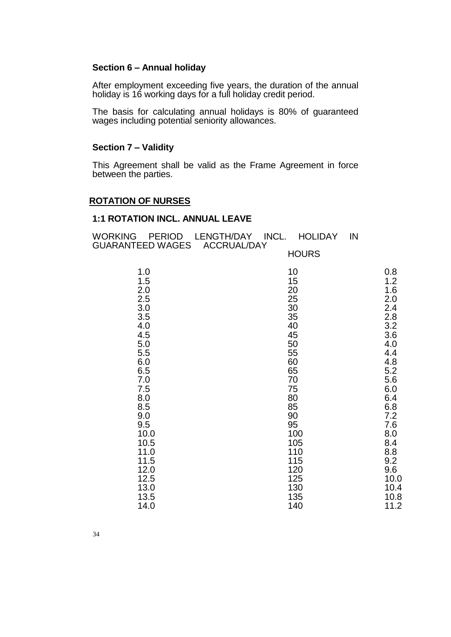### **Section 6 ‒ Annual holiday**

After employment exceeding five years, the duration of the annual holiday is 16 working days for a full holiday credit period.

The basis for calculating annual holidays is 80% of guaranteed wages including potential seniority allowances.

# **Section 7 ‒ Validity**

This Agreement shall be valid as the Frame Agreement in force between the parties.

### **ROTATION OF NURSES**

#### **1:1 ROTATION INCL. ANNUAL LEAVE**

| WORKING<br><b>PERIOD</b><br><b>GUARANTEED WAGES</b> | LENGTH/DAY INCL.<br><b>HOLIDAY</b><br><b>ACCRUAL/DAY</b> | IN |      |
|-----------------------------------------------------|----------------------------------------------------------|----|------|
|                                                     | <b>HOURS</b>                                             |    |      |
| 1.0                                                 | 10                                                       |    | 0.8  |
| 1.5                                                 | 15                                                       |    | 1.2  |
| 2.0                                                 | 20                                                       |    | 1.6  |
| 2.5                                                 | 25                                                       |    | 2.0  |
| 3.0                                                 | 30                                                       |    | 2.4  |
| 3.5                                                 | 35                                                       |    | 2.8  |
| 4.0                                                 | 40                                                       |    | 3.2  |
| 4.5                                                 | 45                                                       |    | 3.6  |
| 5.0                                                 | 50                                                       |    | 4.0  |
| 5.5                                                 | 55                                                       |    | 4.4  |
| 6.0                                                 | 60                                                       |    | 4.8  |
| 6.5                                                 | 65                                                       |    | 5.2  |
| 7.0                                                 | 70                                                       |    | 5.6  |
| 7.5                                                 | 75                                                       |    | 6.0  |
| 8.0                                                 | 80                                                       |    | 6.4  |
| 8.5                                                 | 85                                                       |    | 6.8  |
| 9.0                                                 | 90                                                       |    | 7.2  |
| 9.5                                                 | 95                                                       |    | 7.6  |
| 10.0                                                | 100                                                      |    | 8.0  |
| 10.5                                                | 105                                                      |    | 8.4  |
| 11.0                                                | 110                                                      |    | 8.8  |
| 11.5                                                | 115                                                      |    | 9.2  |
| 12.0                                                | 120                                                      |    | 9.6  |
| 12.5                                                | 125                                                      |    | 10.0 |
| 13.0                                                | 130                                                      |    | 10.4 |
| 13.5                                                | 135                                                      |    | 10.8 |
| 14.0                                                | 140                                                      |    | 11.2 |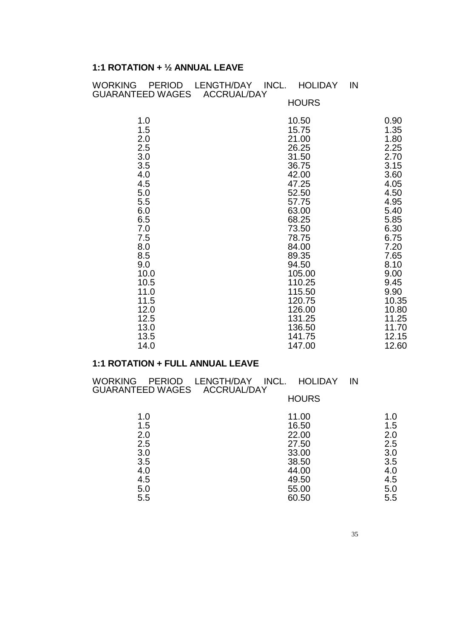# **1:1 ROTATION + ½ ANNUAL LEAVE**

| INCL.<br><b>HOLIDAY</b><br>IN |                                                                                                                                                                                                                               |
|-------------------------------|-------------------------------------------------------------------------------------------------------------------------------------------------------------------------------------------------------------------------------|
| <b>HOURS</b>                  |                                                                                                                                                                                                                               |
| 10.50                         | 0.90                                                                                                                                                                                                                          |
| 15.75                         | 1.35                                                                                                                                                                                                                          |
|                               | 1.80                                                                                                                                                                                                                          |
|                               | 2.25                                                                                                                                                                                                                          |
|                               | 2.70                                                                                                                                                                                                                          |
|                               | 3.15                                                                                                                                                                                                                          |
|                               | 3.60                                                                                                                                                                                                                          |
|                               | 4.05                                                                                                                                                                                                                          |
|                               | 4.50                                                                                                                                                                                                                          |
|                               | 4.95                                                                                                                                                                                                                          |
|                               | 5.40                                                                                                                                                                                                                          |
|                               | 5.85                                                                                                                                                                                                                          |
|                               | 6.30                                                                                                                                                                                                                          |
|                               | 6.75                                                                                                                                                                                                                          |
|                               | 7.20                                                                                                                                                                                                                          |
|                               | 7.65                                                                                                                                                                                                                          |
|                               | 8.10                                                                                                                                                                                                                          |
|                               | 9.00                                                                                                                                                                                                                          |
|                               | $9.45$<br>$9.90$                                                                                                                                                                                                              |
|                               |                                                                                                                                                                                                                               |
|                               | 10.35                                                                                                                                                                                                                         |
|                               | 10.80                                                                                                                                                                                                                         |
|                               | 11.25                                                                                                                                                                                                                         |
|                               | 11.70                                                                                                                                                                                                                         |
|                               | 12.15                                                                                                                                                                                                                         |
|                               | 12.60                                                                                                                                                                                                                         |
|                               | 21.00<br>26.25<br>31.50<br>36.75<br>42.00<br>47.25<br>52.50<br>57.75<br>63.00<br>68.25<br>73.50<br>78.75<br>84.00<br>89.35<br>94.50<br>105.00<br>110.25<br>115.50<br>120.75<br>126.00<br>131.25<br>136.50<br>141.75<br>147.00 |

# **1:1 ROTATION + FULL ANNUAL LEAVE**

| WORKING<br>GUARANTEED WAGES ACCRUAL/DAY | PERIOD LENGTH/DAY<br>INCL.<br><b>HOLIDAY</b> | IN  |
|-----------------------------------------|----------------------------------------------|-----|
|                                         | <b>HOURS</b>                                 |     |
| 1.0                                     | 11.00                                        | 1.0 |
| 1.5                                     | 16.50                                        | 1.5 |
| 2.0                                     | 22.00                                        | 2.0 |
| 2.5                                     | 27.50                                        | 2.5 |
| 3.0                                     | 33.00                                        | 3.0 |
| 3.5                                     | 38.50                                        | 3.5 |
| 4.0                                     | 44.00                                        | 4.0 |
| 4.5                                     | 49.50                                        | 4.5 |
| 5.0                                     | 55.00                                        | 5.0 |
| 5.5                                     | 60.50                                        | 5.5 |
|                                         |                                              |     |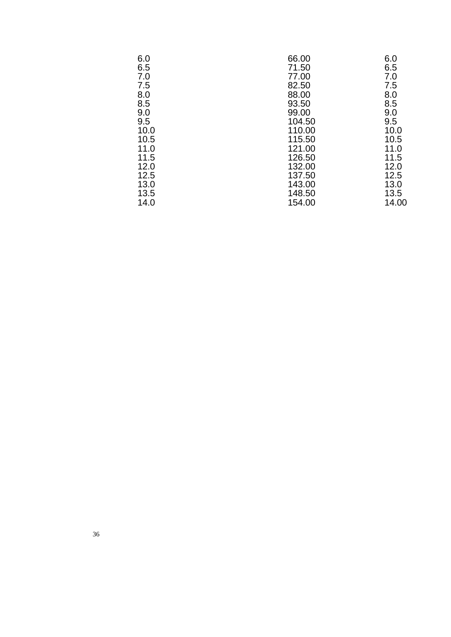| 6.0  | 66.00  | 6.0   |
|------|--------|-------|
| 6.5  | 71.50  | 6.5   |
| 7.0  | 77.00  | 7.0   |
| 7.5  | 82.50  | 7.5   |
| 8.0  | 88.00  | 8.0   |
| 8.5  | 93.50  | 8.5   |
| 9.0  | 99.00  | 9.0   |
| 9.5  | 104.50 | 9.5   |
| 10.0 | 110.00 | 10.0  |
| 10.5 | 115.50 | 10.5  |
| 11.0 | 121.00 | 11.0  |
| 11.5 | 126.50 | 11.5  |
| 12.0 | 132.00 | 12.0  |
| 12.5 | 137.50 | 12.5  |
| 13.0 | 143.00 | 13.0  |
| 13.5 | 148.50 | 13.5  |
| 14.0 | 154.00 | 14.00 |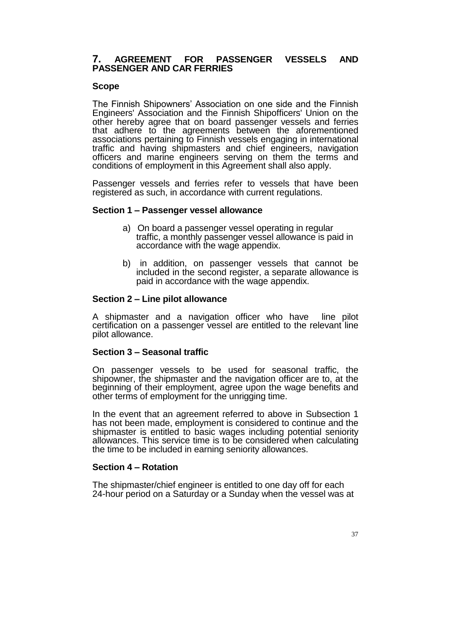## **7. AGREEMENT FOR PASSENGER VESSELS AND PASSENGER AND CAR FERRIES**

## **Scope**

The Finnish Shipowners' Association on one side and the Finnish Engineers' Association and the Finnish Shipofficers' Union on the other hereby agree that on board passenger vessels and ferries that adhere to the agreements between the aforementioned associations pertaining to Finnish vessels engaging in international traffic and having shipmasters and chief engineers, navigation officers and marine engineers serving on them the terms and conditions of employment in this Agreement shall also apply.

Passenger vessels and ferries refer to vessels that have been registered as such, in accordance with current regulations.

## **Section 1 ‒ Passenger vessel allowance**

- a) On board a passenger vessel operating in regular traffic, a monthly passenger vessel allowance is paid in accordance with the wage appendix.
- b) in addition, on passenger vessels that cannot be included in the second register, a separate allowance is paid in accordance with the wage appendix.

## **Section 2 ‒ Line pilot allowance**

A shipmaster and a navigation officer who have line pilot certification on a passenger vessel are entitled to the relevant line pilot allowance.

## **Section 3 ‒ Seasonal traffic**

On passenger vessels to be used for seasonal traffic, the shipowner, the shipmaster and the navigation officer are to, at the beginning of their employment, agree upon the wage benefits and other terms of employment for the unrigging time.

In the event that an agreement referred to above in Subsection 1 has not been made, employment is considered to continue and the shipmaster is entitled to basic wages including potential seniority allowances. This service time is to be considered when calculating the time to be included in earning seniority allowances.

## **Section 4 ‒ Rotation**

The shipmaster/chief engineer is entitled to one day off for each 24-hour period on a Saturday or a Sunday when the vessel was at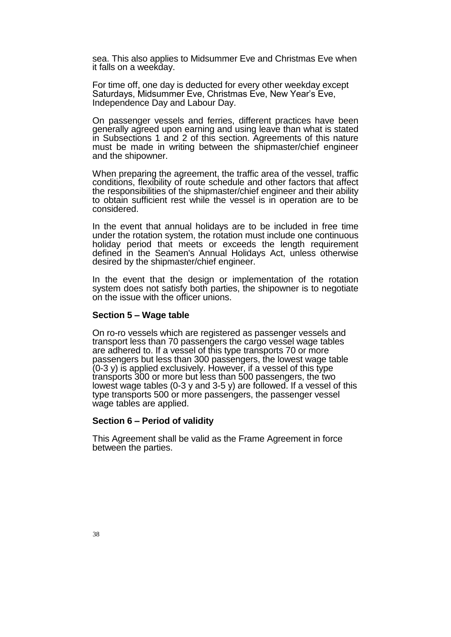sea. This also applies to Midsummer Eve and Christmas Eve when it falls on a weekday.

For time off, one day is deducted for every other weekday except Saturdays, Midsummer Eve, Christmas Eve, New Year's Eve, Independence Day and Labour Day.

On passenger vessels and ferries, different practices have been generally agreed upon earning and using leave than what is stated in Subsections 1 and 2 of this section. Agreements of this nature must be made in writing between the shipmaster/chief engineer and the shipowner.

When preparing the agreement, the traffic area of the vessel, traffic conditions, flexibility of route schedule and other factors that affect the responsibilities of the shipmaster/chief engineer and their ability to obtain sufficient rest while the vessel is in operation are to be considered.

In the event that annual holidays are to be included in free time under the rotation system, the rotation must include one continuous holiday period that meets or exceeds the length requirement defined in the Seamen's Annual Holidays Act, unless otherwise desired by the shipmaster/chief engineer.

In the event that the design or implementation of the rotation system does not satisfy both parties, the shipowner is to negotiate on the issue with the officer unions.

#### **Section 5 ‒ Wage table**

On ro-ro vessels which are registered as passenger vessels and transport less than 70 passengers the cargo vessel wage tables are adhered to. If a vessel of this type transports 70 or more passengers but less than 300 passengers, the lowest wage table  $(0-3 y)$  is applied exclusively. However, if a vessel of this type transports 300 or more but less than 500 passengers, the two lowest wage tables (0-3 y and 3-5 y) are followed. If a vessel of this type transports 500 or more passengers, the passenger vessel wage tables are applied.

#### **Section 6 ‒ Period of validity**

This Agreement shall be valid as the Frame Agreement in force between the parties.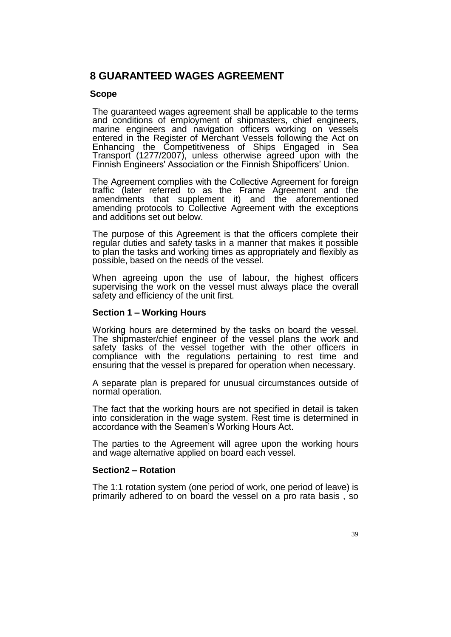# **8 GUARANTEED WAGES AGREEMENT**

## **Scope**

The guaranteed wages agreement shall be applicable to the terms and conditions of employment of shipmasters, chief engineers, marine engineers and navigation officers working on vessels entered in the Register of Merchant Vessels following the Act on Enhancing the Competitiveness of Ships Engaged in Sea Transport (1277/2007), unless otherwise agreed upon with the Finnish Engineers' Association or the Finnish Shipofficers' Union.

The Agreement complies with the Collective Agreement for foreign traffic (later referred to as the Frame Agreement and the amendments that supplement it) and the aforementioned amending protocols to Collective Agreement with the exceptions and additions set out below.

The purpose of this Agreement is that the officers complete their regular duties and safety tasks in a manner that makes it possible to plan the tasks and working times as appropriately and flexibly as possible, based on the needs of the vessel.

When agreeing upon the use of labour, the highest officers supervising the work on the vessel must always place the overall safety and efficiency of the unit first.

## **Section 1 ‒ Working Hours**

Working hours are determined by the tasks on board the vessel. The shipmaster/chief engineer of the vessel plans the work and safety tasks of the vessel together with the other officers in compliance with the regulations pertaining to rest time and ensuring that the vessel is prepared for operation when necessary.

A separate plan is prepared for unusual circumstances outside of normal operation.

The fact that the working hours are not specified in detail is taken into consideration in the wage system. Rest time is determined in accordance with the Seamen's Working Hours Act.

The parties to the Agreement will agree upon the working hours and wage alternative applied on board each vessel.

## **Section2 ‒ Rotation**

The 1:1 rotation system (one period of work, one period of leave) is primarily adhered to on board the vessel on a pro rata basis , so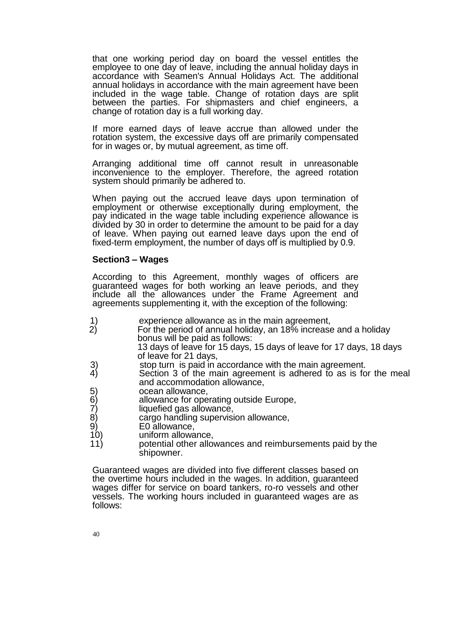that one working period day on board the vessel entitles the employee to one day of leave, including the annual holiday days in accordance with Seamen's Annual Holidays Act. The additional annual holidays in accordance with the main agreement have been included in the wage table. Change of rotation days are split between the parties. For shipmasters and chief engineers, a change of rotation day is a full working day.

If more earned days of leave accrue than allowed under the rotation system, the excessive days off are primarily compensated for in wages or, by mutual agreement, as time off.

Arranging additional time off cannot result in unreasonable inconvenience to the employer. Therefore, the agreed rotation system should primarily be adhered to.

When paying out the accrued leave days upon termination of employment or otherwise exceptionally during employment, the pay indicated in the wage table including experience allowance is divided by 30 in order to determine the amount to be paid for a day of leave. When paying out earned leave days upon the end of fixed-term employment, the number of days off is multiplied by 0.9.

#### **Section3 ‒ Wages**

According to this Agreement, monthly wages of officers are guaranteed wages for both working an leave periods, and they include all the allowances under the Frame Agreement and agreements supplementing it, with the exception of the following:

- 1) experience allowance as in the main agreement,<br>2) For the period of annual holiday, an 18% increase
	- For the period of annual holiday, an 18% increase and a holiday bonus will be paid as follows:

13 days of leave for 15 days, 15 days of leave for 17 days, 18 days of leave for 21 days,

- 3) stop turn is paid in accordance with the main agreement.<br>4) Section 3 of the main agreement is adhered to as is fo
- Section 3 of the main agreement is adhered to as is for the meal and accommodation allowance,
- 5) ocean allowance,<br>6) allowance for ope
- 6) allowance for operating outside Europe,<br>7) liquefied gas allowance,
- 7) liquefied gas allowance,<br>8) cargo handling supervis<br>9) E0 allowance,
- cargo handling supervision allowance,
- 9) E0 allowance,
- uniform allowance.
- 11) potential other allowances and reimbursements paid by the shipowner.

Guaranteed wages are divided into five different classes based on the overtime hours included in the wages. In addition, guaranteed wages differ for service on board tankers, ro-ro vessels and other vessels. The working hours included in guaranteed wages are as follows: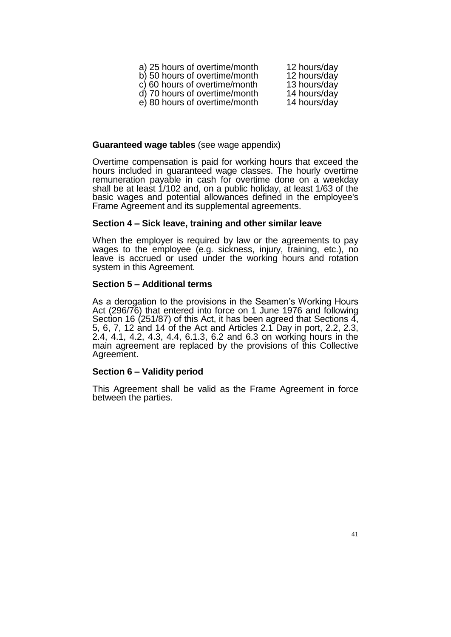| a) 25 hours of overtime/month | 12 hours/day |
|-------------------------------|--------------|
| b) 50 hours of overtime/month | 12 hours/day |
| c) 60 hours of overtime/month | 13 hours/day |
| d) 70 hours of overtime/month | 14 hours/day |
| e) 80 hours of overtime/month | 14 hours/day |

#### **Guaranteed wage tables** (see wage appendix)

Overtime compensation is paid for working hours that exceed the hours included in guaranteed wage classes. The hourly overtime remuneration payable in cash for overtime done on a weekday shall be at least 1/102 and, on a public holiday, at least 1/63 of the basic wages and potential allowances defined in the employee's Frame Agreement and its supplemental agreements.

#### **Section 4 ‒ Sick leave, training and other similar leave**

When the employer is required by law or the agreements to pay wages to the employee (e.g. sickness, injury, training, etc.), no leave is accrued or used under the working hours and rotation system in this Agreement.

#### **Section 5 ‒ Additional terms**

As a derogation to the provisions in the Seamen's Working Hours Act (296/76) that entered into force on 1 June 1976 and following Section 16 (251/87) of this Act, it has been agreed that Sections 4, 5, 6, 7, 12 and 14 of the Act and Articles 2.1 Day in port, 2.2, 2.3, 2.4, 4.1, 4.2, 4.3, 4.4, 6.1.3, 6.2 and 6.3 on working hours in the main agreement are replaced by the provisions of this Collective Agreement.

## **Section 6 ‒ Validity period**

This Agreement shall be valid as the Frame Agreement in force between the parties.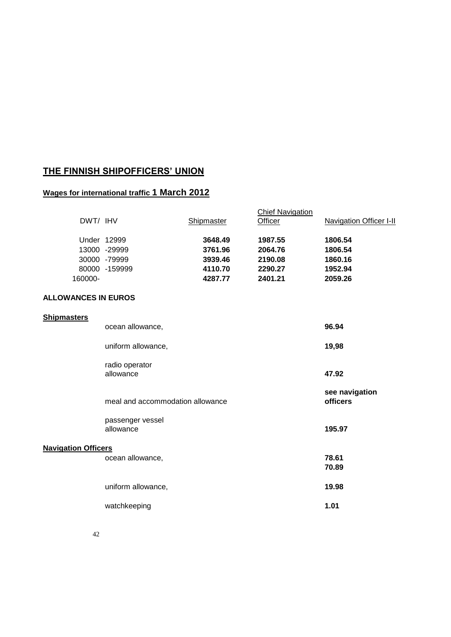# **THE FINNISH SHIPOFFICERS' UNION**

# **Wages for international traffic 1 March 2012**

| DWT/ IHV                   |                                  | Shipmaster | <b>Chief Navigation</b><br>Officer | <b>Navigation Officer I-II</b> |
|----------------------------|----------------------------------|------------|------------------------------------|--------------------------------|
|                            | Under 12999                      | 3648.49    | 1987.55                            | 1806.54                        |
|                            | 13000 -29999                     | 3761.96    | 2064.76                            | 1806.54                        |
|                            | 30000 -79999                     | 3939.46    | 2190.08                            | 1860.16                        |
|                            | 80000 -159999                    | 4110.70    | 2290.27                            | 1952.94                        |
| 160000-                    |                                  | 4287.77    | 2401.21                            | 2059.26                        |
| <b>ALLOWANCES IN EUROS</b> |                                  |            |                                    |                                |
| <b>Shipmasters</b>         |                                  |            |                                    |                                |
|                            | ocean allowance,                 |            |                                    | 96.94                          |
|                            | uniform allowance,               |            |                                    | 19,98                          |
|                            | radio operator                   |            |                                    |                                |
|                            | allowance                        |            |                                    | 47.92                          |
|                            | meal and accommodation allowance |            |                                    | see navigation<br>officers     |
|                            | passenger vessel                 |            |                                    |                                |
|                            | allowance                        |            |                                    | 195.97                         |
| <b>Navigation Officers</b> |                                  |            |                                    |                                |
|                            | ocean allowance,                 |            |                                    | 78.61                          |
|                            |                                  |            |                                    | 70.89                          |
|                            | uniform allowance,               |            |                                    | 19.98                          |
|                            | watchkeeping                     |            |                                    | 1.01                           |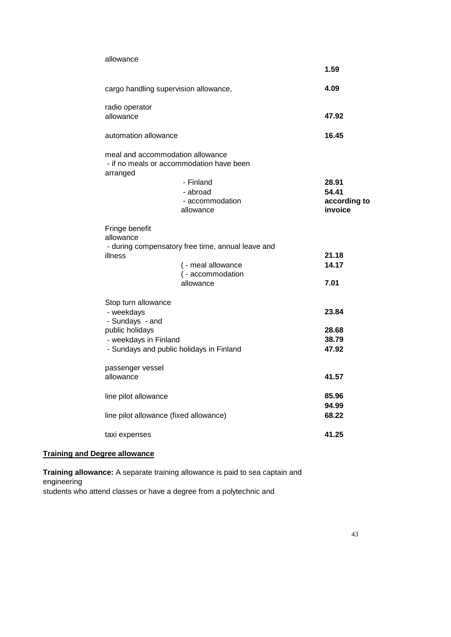| allowance                                                                                                                                    |                                                                   |
|----------------------------------------------------------------------------------------------------------------------------------------------|-------------------------------------------------------------------|
|                                                                                                                                              | 1.59                                                              |
| cargo handling supervision allowance,                                                                                                        | 4.09                                                              |
| radio operator<br>allowance                                                                                                                  | 47.92                                                             |
| automation allowance                                                                                                                         | 16.45                                                             |
| meal and accommodation allowance<br>- if no meals or accommodation have been<br>arranged<br>- Finland<br>- abroad<br>allowance               | 28.91<br>54.41<br>- accommodation<br>according to<br>invoice      |
| Fringe benefit<br>allowance<br>- during compensatory free time, annual leave and<br>illness<br>allowance                                     | 21.18<br>14.17<br>( - meal allowance<br>( - accommodation<br>7.01 |
| Stop turn allowance<br>- weekdays<br>- Sundays - and<br>public holidays<br>- weekdays in Finland<br>- Sundays and public holidays in Finland | 23.84<br>28.68<br>38.79<br>47.92                                  |
| passenger vessel<br>allowance                                                                                                                | 41.57                                                             |
| line pilot allowance                                                                                                                         | 85.96<br>94.99                                                    |
| line pilot allowance (fixed allowance)<br>taxi expenses                                                                                      | 68.22<br>41.25                                                    |

# **Training and Degree allowance**

**Training allowance:** A separate training allowance is paid to sea captain and engineering students who attend classes or have a degree from a polytechnic and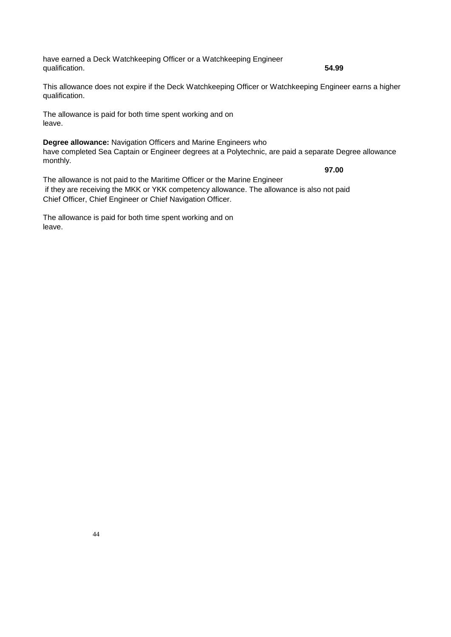have earned a Deck Watchkeeping Officer or a Watchkeeping Engineer qualification. **54.99**

This allowance does not expire if the Deck Watchkeeping Officer or Watchkeeping Engineer earns a higher qualification.

The allowance is paid for both time spent working and on leave.

**Degree allowance:** Navigation Officers and Marine Engineers who have completed Sea Captain or Engineer degrees at a Polytechnic, are paid a separate Degree allowance monthly.

**97.00**

The allowance is not paid to the Maritime Officer or the Marine Engineer if they are receiving the MKK or YKK competency allowance. The allowance is also not paid Chief Officer, Chief Engineer or Chief Navigation Officer.

The allowance is paid for both time spent working and on leave.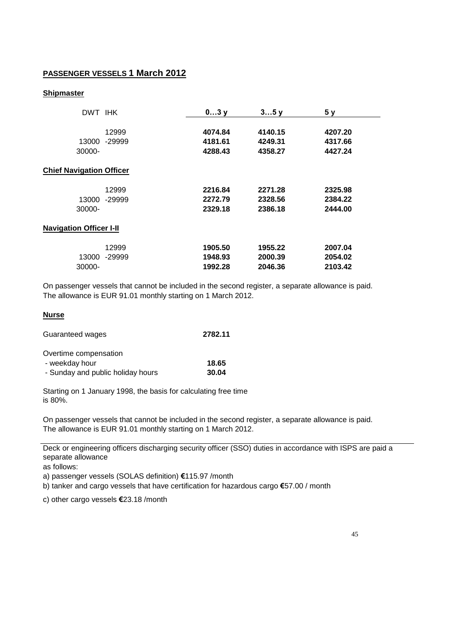## **PASSENGER VESSELS 1 March 2012**

#### **Shipmaster**

| DWT IHK                         |          | 03y     | 35y     | 5 <sub>y</sub> |  |
|---------------------------------|----------|---------|---------|----------------|--|
|                                 | 12999    | 4074.84 | 4140.15 | 4207.20        |  |
| 13000                           | -29999   | 4181.61 | 4249.31 | 4317.66        |  |
| 30000-                          |          | 4288.43 | 4358.27 | 4427.24        |  |
| <b>Chief Navigation Officer</b> |          |         |         |                |  |
|                                 | 12999    | 2216.84 | 2271.28 | 2325.98        |  |
| 13000                           | $-29999$ | 2272.79 | 2328.56 | 2384.22        |  |
| 30000-                          |          | 2329.18 | 2386.18 | 2444.00        |  |
| <b>Navigation Officer I-II</b>  |          |         |         |                |  |
|                                 | 12999    | 1905.50 | 1955.22 | 2007.04        |  |
| 13000                           | -29999   | 1948.93 | 2000.39 | 2054.02        |  |
| 30000-                          |          | 1992.28 | 2046.36 | 2103.42        |  |

On passenger vessels that cannot be included in the second register, a separate allowance is paid. The allowance is EUR 91.01 monthly starting on 1 March 2012.

#### **Nurse**

| Guaranteed wages | 2782.11 |
|------------------|---------|
|------------------|---------|

| Overtime compensation             |       |
|-----------------------------------|-------|
| - weekday hour                    | 18.65 |
| - Sunday and public holiday hours | 30.04 |

Starting on 1 January 1998, the basis for calculating free time is 80%.

On passenger vessels that cannot be included in the second register, a separate allowance is paid. The allowance is EUR 91.01 monthly starting on 1 March 2012.

Deck or engineering officers discharging security officer (SSO) duties in accordance with ISPS are paid a separate allowance

as follows:

a) passenger vessels (SOLAS definition) **€**115.97 /month

b) tanker and cargo vessels that have certification for hazardous cargo **€**57.00 / month

c) other cargo vessels **€**23.18 /month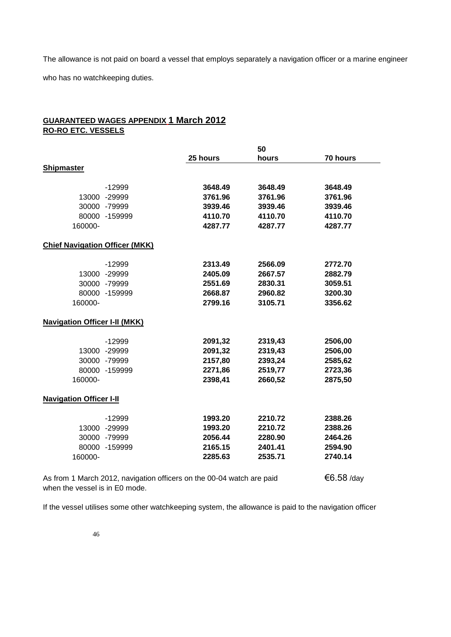The allowance is not paid on board a vessel that employs separately a navigation officer or a marine engineer who has no watchkeeping duties.

## **GUARANTEED WAGES APPENDIX 1 March 2012 RO-RO ETC. VESSELS**

|                                       |                                                                       | 50      |            |  |
|---------------------------------------|-----------------------------------------------------------------------|---------|------------|--|
|                                       | 25 hours                                                              | hours   | 70 hours   |  |
| <b>Shipmaster</b>                     |                                                                       |         |            |  |
|                                       |                                                                       |         |            |  |
| $-12999$                              | 3648.49                                                               | 3648.49 | 3648.49    |  |
| 13000 -29999                          | 3761.96                                                               | 3761.96 | 3761.96    |  |
| 30000 -79999                          | 3939.46                                                               | 3939.46 | 3939.46    |  |
| 80000 -159999                         | 4110.70                                                               | 4110.70 | 4110.70    |  |
| 160000-                               | 4287.77                                                               | 4287.77 | 4287.77    |  |
| <b>Chief Navigation Officer (MKK)</b> |                                                                       |         |            |  |
| $-12999$                              | 2313.49                                                               | 2566.09 | 2772.70    |  |
| 13000 -29999                          | 2405.09                                                               | 2667.57 | 2882.79    |  |
| 30000 -79999                          | 2551.69                                                               | 2830.31 | 3059.51    |  |
| 80000 -159999                         | 2668.87                                                               | 2960.82 | 3200.30    |  |
| 160000-                               | 2799.16                                                               | 3105.71 | 3356.62    |  |
| <b>Navigation Officer I-II (MKK)</b>  |                                                                       |         |            |  |
| $-12999$                              | 2091,32                                                               | 2319,43 | 2506,00    |  |
| 13000 -29999                          | 2091,32                                                               | 2319,43 | 2506,00    |  |
| 30000 -79999                          | 2157,80                                                               | 2393,24 | 2585,62    |  |
| 80000 -159999                         | 2271,86                                                               | 2519,77 | 2723,36    |  |
| 160000-                               | 2398,41                                                               | 2660,52 | 2875,50    |  |
| <b>Navigation Officer I-II</b>        |                                                                       |         |            |  |
| $-12999$                              | 1993.20                                                               | 2210.72 | 2388.26    |  |
| 13000 -29999                          | 1993.20                                                               | 2210.72 | 2388.26    |  |
| 30000 -79999                          | 2056.44                                                               | 2280.90 | 2464.26    |  |
| 80000 -159999                         | 2165.15                                                               | 2401.41 | 2594.90    |  |
| 160000-                               | 2285.63                                                               | 2535.71 | 2740.14    |  |
|                                       | As from 1 March 2012, navigation officers on the 00-04 watch are paid |         | €6.58 /day |  |

when the vessel is in E0 mode.

If the vessel utilises some other watchkeeping system, the allowance is paid to the navigation officer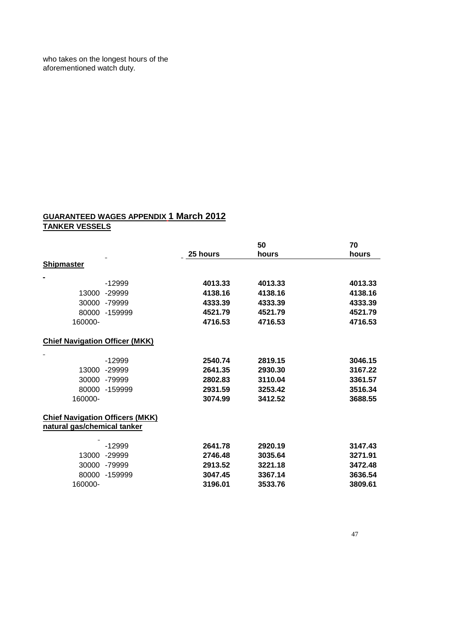who takes on the longest hours of the aforementioned watch duty.

# **GUARANTEED WAGES APPENDIX 1 March 2012 TANKER VESSELS**

|                                                                       |           |                 | 50      | 70      |
|-----------------------------------------------------------------------|-----------|-----------------|---------|---------|
|                                                                       |           | <b>25 hours</b> | hours   | hours   |
| <b>Shipmaster</b>                                                     |           |                 |         |         |
|                                                                       |           |                 |         |         |
|                                                                       | $-12999$  | 4013.33         | 4013.33 | 4013.33 |
| 13000                                                                 | $-29999$  | 4138.16         | 4138.16 | 4138.16 |
| 30000                                                                 | -79999    | 4333.39         | 4333.39 | 4333.39 |
| 80000                                                                 | $-159999$ | 4521.79         | 4521.79 | 4521.79 |
| 160000-                                                               |           | 4716.53         | 4716.53 | 4716.53 |
| <b>Chief Navigation Officer (MKK)</b>                                 |           |                 |         |         |
|                                                                       | $-12999$  | 2540.74         | 2819.15 | 3046.15 |
| 13000                                                                 | $-29999$  | 2641.35         | 2930.30 | 3167.22 |
| 30000                                                                 | -79999    | 2802.83         | 3110.04 | 3361.57 |
| 80000                                                                 | -159999   | 2931.59         | 3253.42 | 3516.34 |
| 160000-                                                               |           | 3074.99         | 3412.52 | 3688.55 |
| <b>Chief Navigation Officers (MKK)</b><br>natural gas/chemical tanker |           |                 |         |         |
|                                                                       |           |                 |         |         |
|                                                                       | $-12999$  | 2641.78         | 2920.19 | 3147.43 |
| 13000                                                                 | $-29999$  | 2746.48         | 3035.64 | 3271.91 |
| 30000                                                                 | -79999    | 2913.52         | 3221.18 | 3472.48 |
| 80000                                                                 | -159999   | 3047.45         | 3367.14 | 3636.54 |
| 160000-                                                               |           | 3196.01         | 3533.76 | 3809.61 |
|                                                                       |           |                 |         |         |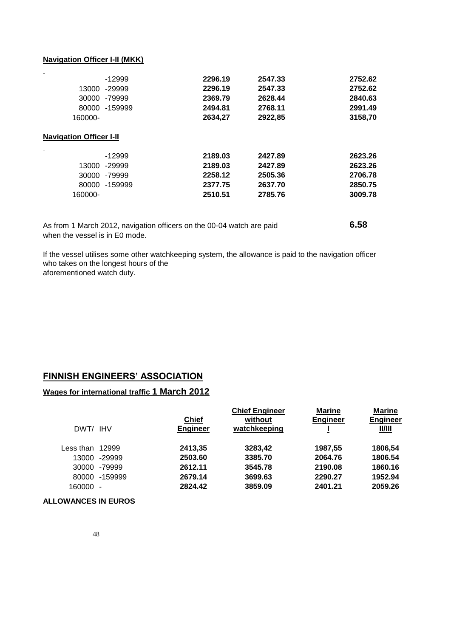#### **Navigation Officer I-II (MKK)**

| $-12999$                       | 2296.19 | 2547.33 | 2752.62 |
|--------------------------------|---------|---------|---------|
| -29999<br>13000                | 2296.19 | 2547.33 | 2752.62 |
| 30000<br>-79999                | 2369.79 | 2628.44 | 2840.63 |
| -159999<br>80000               | 2494.81 | 2768.11 | 2991.49 |
| 160000-                        | 2634,27 | 2922,85 | 3158,70 |
| <b>Navigation Officer I-II</b> |         |         |         |
| $-12999$                       | 2189.03 | 2427.89 | 2623.26 |
| -29999<br>13000                | 2189.03 | 2427.89 | 2623.26 |
| 30000<br>-79999                | 2258.12 | 2505.36 | 2706.78 |
| 80000<br>-159999               | 2377.75 | 2637.70 | 2850.75 |
| 160000-                        | 2510.51 | 2785.76 | 3009.78 |
|                                |         |         |         |

| As from 1 March 2012, navigation officers on the 00-04 watch are paid | 6.58 |
|-----------------------------------------------------------------------|------|
| when the vessel is in E0 mode.                                        |      |

If the vessel utilises some other watchkeeping system, the allowance is paid to the navigation officer who takes on the longest hours of the aforementioned watch duty.

# **FINNISH ENGINEERS' ASSOCIATION**

### **Wages for international traffic 1 March 2012**

| DWT/ IHV                 |           | <b>Chief</b><br><b>Engineer</b> | without<br>watchkeeping | <b>Engineer</b> | <b>Engineer</b><br><u>          </u> |
|--------------------------|-----------|---------------------------------|-------------------------|-----------------|--------------------------------------|
| Less than                | 12999     | 2413,35                         | 3283,42                 | 1987,55         | 1806,54                              |
| 13000                    | $-29999$  | 2503.60                         | 3385.70                 | 2064.76         | 1806.54                              |
| 30000                    | -79999    | 2612.11                         | 3545.78                 | 2190.08         | 1860.16                              |
| 80000                    | $-159999$ | 2679.14                         | 3699.63                 | 2290.27         | 1952.94                              |
| 160000<br>$\blacksquare$ |           | 2824.42                         | 3859.09                 | 2401.21         | 2059.26                              |

**ALLOWANCES IN EUROS**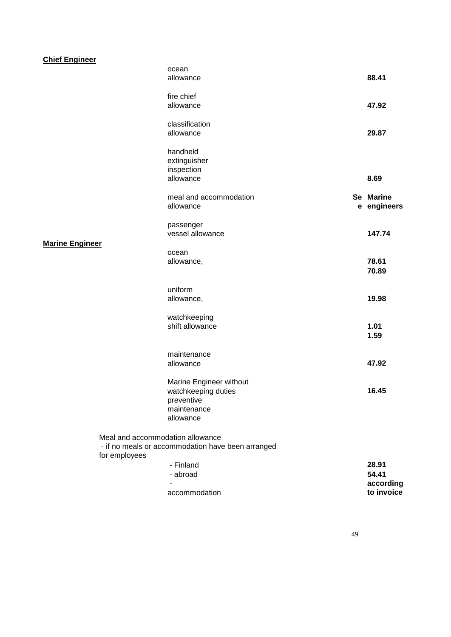# **Chief Engineer**

|                                  | ocean                                             |                |
|----------------------------------|---------------------------------------------------|----------------|
|                                  | allowance                                         | 88.41          |
|                                  |                                                   |                |
|                                  | fire chief<br>allowance                           | 47.92          |
|                                  |                                                   |                |
|                                  | classification                                    |                |
|                                  | allowance                                         | 29.87          |
|                                  |                                                   |                |
|                                  | handheld                                          |                |
|                                  | extinguisher                                      |                |
|                                  | inspection                                        |                |
|                                  | allowance                                         | 8.69           |
|                                  | meal and accommodation                            | Se Marine      |
|                                  | allowance                                         | e engineers    |
|                                  |                                                   |                |
|                                  | passenger                                         |                |
|                                  | vessel allowance                                  | 147.74         |
| <b>Marine Engineer</b>           |                                                   |                |
|                                  | ocean                                             |                |
|                                  | allowance,                                        | 78.61          |
|                                  |                                                   | 70.89          |
|                                  | uniform                                           |                |
|                                  | allowance,                                        | 19.98          |
|                                  |                                                   |                |
|                                  | watchkeeping                                      |                |
|                                  | shift allowance                                   | 1.01           |
|                                  |                                                   | 1.59           |
|                                  |                                                   |                |
|                                  | maintenance                                       |                |
|                                  | allowance                                         | 47.92          |
|                                  | Marine Engineer without                           |                |
|                                  | watchkeeping duties                               | 16.45          |
|                                  | preventive                                        |                |
|                                  | maintenance                                       |                |
|                                  | allowance                                         |                |
|                                  |                                                   |                |
| Meal and accommodation allowance |                                                   |                |
|                                  | - if no meals or accommodation have been arranged |                |
| for employees                    |                                                   |                |
|                                  | - Finland                                         | 28.91<br>54.41 |
|                                  | - abroad                                          | according      |
|                                  | accommodation                                     | to invoice     |
|                                  |                                                   |                |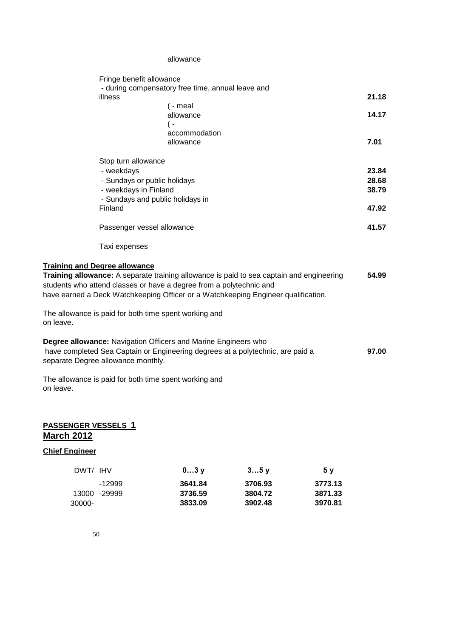#### allowance

| Fringe benefit allowance                                              |                                                                                          |       |
|-----------------------------------------------------------------------|------------------------------------------------------------------------------------------|-------|
|                                                                       | - during compensatory free time, annual leave and                                        |       |
| illness                                                               |                                                                                          | 21.18 |
|                                                                       | $( -$ meal                                                                               |       |
|                                                                       | allowance                                                                                | 14.17 |
|                                                                       | ( –                                                                                      |       |
|                                                                       | accommodation                                                                            |       |
|                                                                       | allowance                                                                                | 7.01  |
| Stop turn allowance                                                   |                                                                                          |       |
| - weekdays                                                            |                                                                                          | 23.84 |
| - Sundays or public holidays                                          |                                                                                          | 28.68 |
| - weekdays in Finland                                                 |                                                                                          | 38.79 |
| - Sundays and public holidays in                                      |                                                                                          |       |
| Finland                                                               |                                                                                          | 47.92 |
| Passenger vessel allowance                                            |                                                                                          | 41.57 |
| Taxi expenses                                                         |                                                                                          |       |
| <b>Training and Degree allowance</b>                                  |                                                                                          |       |
|                                                                       | Training allowance: A separate training allowance is paid to sea captain and engineering | 54.99 |
| students who attend classes or have a degree from a polytechnic and   |                                                                                          |       |
|                                                                       | have earned a Deck Watchkeeping Officer or a Watchkeeping Engineer qualification.        |       |
|                                                                       |                                                                                          |       |
| The allowance is paid for both time spent working and<br>on leave.    |                                                                                          |       |
| <b>Degree allowance: Navigation Officers and Marine Engineers who</b> |                                                                                          |       |
|                                                                       | have completed Sea Captain or Engineering degrees at a polytechnic, are paid a           | 97.00 |
| separate Degree allowance monthly.                                    |                                                                                          |       |
| The allowance is paid for both time spent working and                 |                                                                                          |       |
| on leave.                                                             |                                                                                          |       |
|                                                                       |                                                                                          |       |

# **PASSENGER VESSELS 1 March 2012**

## **Chief Engineer**

| DWT/ IHV |              | $03$ $V$ | 35v     | 5 V     |
|----------|--------------|----------|---------|---------|
|          | -12999       | 3641.84  | 3706.93 | 3773.13 |
|          | 13000 -29999 | 3736.59  | 3804.72 | 3871.33 |
| 30000-   |              | 3833.09  | 3902.48 | 3970.81 |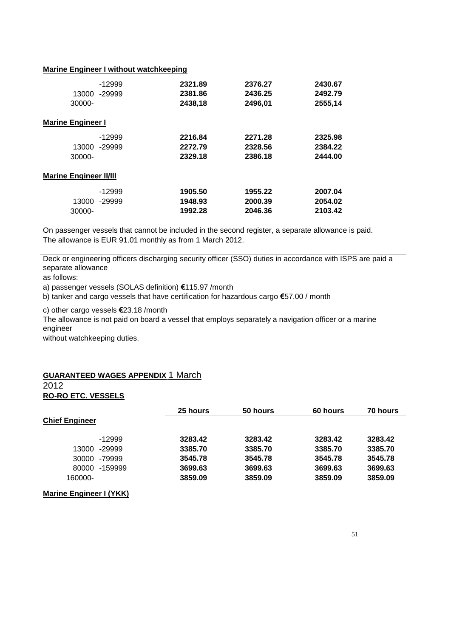#### **Marine Engineer I without watchkeeping**

|                               | $-12999$ | 2321.89 | 2376.27 | 2430.67 |
|-------------------------------|----------|---------|---------|---------|
| 13000                         | -29999   | 2381.86 | 2436.25 | 2492.79 |
| 30000-                        |          | 2438,18 | 2496,01 | 2555,14 |
| <b>Marine Engineer I</b>      |          |         |         |         |
|                               | $-12999$ | 2216.84 | 2271.28 | 2325.98 |
| 13000                         | -29999   | 2272.79 | 2328.56 | 2384.22 |
| 30000-                        |          | 2329.18 | 2386.18 | 2444.00 |
| <b>Marine Engineer II/III</b> |          |         |         |         |
|                               | $-12999$ | 1905.50 | 1955.22 | 2007.04 |
| 13000                         | -29999   | 1948.93 | 2000.39 | 2054.02 |
| 30000-                        |          | 1992.28 | 2046.36 | 2103.42 |
|                               |          |         |         |         |

On passenger vessels that cannot be included in the second register, a separate allowance is paid. The allowance is EUR 91.01 monthly as from 1 March 2012.

Deck or engineering officers discharging security officer (SSO) duties in accordance with ISPS are paid a separate allowance

as follows:

a) passenger vessels (SOLAS definition) **€**115.97 /month

b) tanker and cargo vessels that have certification for hazardous cargo **€**57.00 / month

c) other cargo vessels **€**23.18 /month

The allowance is not paid on board a vessel that employs separately a navigation officer or a marine engineer

without watchkeeping duties.

# **GUARANTEED WAGES APPENDIX** 1 March

2012 **RO-RO ETC. VESSELS**

|                       |          | <b>25 hours</b> | 50 hours | <b>60 hours</b> | <b>70 hours</b> |
|-----------------------|----------|-----------------|----------|-----------------|-----------------|
| <b>Chief Engineer</b> |          |                 |          |                 |                 |
|                       | $-12999$ | 3283.42         | 3283.42  | 3283.42         | 3283.42         |
| 13000                 | -29999   | 3385.70         | 3385.70  | 3385.70         | 3385.70         |
| 30000                 | -79999   | 3545.78         | 3545.78  | 3545.78         | 3545.78         |
| 80000                 | -159999  | 3699.63         | 3699.63  | 3699.63         | 3699.63         |
| 160000-               |          | 3859.09         | 3859.09  | 3859.09         | 3859.09         |

#### **Marine Engineer I (YKK)**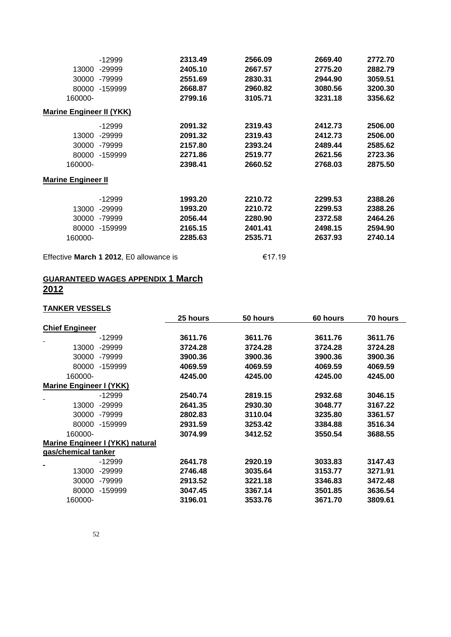|                                 | $-12999$                                | 2313.49 | 2566.09 | 2669.40 | 2772.70 |
|---------------------------------|-----------------------------------------|---------|---------|---------|---------|
| 13000                           | -29999                                  | 2405.10 | 2667.57 | 2775.20 | 2882.79 |
| 30000                           | -79999                                  | 2551.69 | 2830.31 | 2944.90 | 3059.51 |
| 80000                           | -159999                                 | 2668.87 | 2960.82 | 3080.56 | 3200.30 |
| 160000-                         |                                         | 2799.16 | 3105.71 | 3231.18 | 3356.62 |
| <b>Marine Engineer II (YKK)</b> |                                         |         |         |         |         |
|                                 | $-12999$                                | 2091.32 | 2319.43 | 2412.73 | 2506.00 |
| 13000                           | -29999                                  | 2091.32 | 2319.43 | 2412.73 | 2506.00 |
| 30000                           | -79999                                  | 2157.80 | 2393.24 | 2489.44 | 2585.62 |
| 80000                           | -159999                                 | 2271.86 | 2519.77 | 2621.56 | 2723.36 |
| 160000-                         |                                         | 2398.41 | 2660.52 | 2768.03 | 2875.50 |
| <b>Marine Engineer II</b>       |                                         |         |         |         |         |
|                                 | -12999                                  | 1993.20 | 2210.72 | 2299.53 | 2388.26 |
| 13000                           | -29999                                  | 1993.20 | 2210.72 | 2299.53 | 2388.26 |
| 30000                           | -79999                                  | 2056.44 | 2280.90 | 2372.58 | 2464.26 |
| 80000                           | -159999                                 | 2165.15 | 2401.41 | 2498.15 | 2594.90 |
| 160000-                         |                                         | 2285.63 | 2535.71 | 2637.93 | 2740.14 |
|                                 | Effective March 1 2012, E0 allowance is |         | €17.19  |         |         |

**GUARANTEED WAGES APPENDIX 1 March 2012**

# **TANKER VESSELS**

|                                |                                 | <b>25 hours</b> | 50 hours | 60 hours | 70 hours |
|--------------------------------|---------------------------------|-----------------|----------|----------|----------|
| <b>Chief Engineer</b>          |                                 |                 |          |          |          |
|                                | $-12999$                        | 3611.76         | 3611.76  | 3611.76  | 3611.76  |
| 13000                          | -29999                          | 3724.28         | 3724.28  | 3724.28  | 3724.28  |
| 30000                          | -79999                          | 3900.36         | 3900.36  | 3900.36  | 3900.36  |
| 80000                          | -159999                         | 4069.59         | 4069.59  | 4069.59  | 4069.59  |
| 160000-                        |                                 | 4245.00         | 4245.00  | 4245.00  | 4245.00  |
| <b>Marine Engineer I (YKK)</b> |                                 |                 |          |          |          |
|                                | $-12999$                        | 2540.74         | 2819.15  | 2932.68  | 3046.15  |
| 13000                          | $-29999$                        | 2641.35         | 2930.30  | 3048.77  | 3167.22  |
| 30000                          | -79999                          | 2802.83         | 3110.04  | 3235.80  | 3361.57  |
| 80000                          | -159999                         | 2931.59         | 3253.42  | 3384.88  | 3516.34  |
| 160000-                        |                                 | 3074.99         | 3412.52  | 3550.54  | 3688.55  |
|                                | Marine Engineer I (YKK) natural |                 |          |          |          |
| gas/chemical tanker            |                                 |                 |          |          |          |
|                                | $-12999$                        | 2641.78         | 2920.19  | 3033.83  | 3147.43  |
| 13000                          | -29999                          | 2746.48         | 3035.64  | 3153.77  | 3271.91  |
| 30000                          | -79999                          | 2913.52         | 3221.18  | 3346.83  | 3472.48  |
| 80000                          | -159999                         | 3047.45         | 3367.14  | 3501.85  | 3636.54  |
| 160000-                        |                                 | 3196.01         | 3533.76  | 3671.70  | 3809.61  |